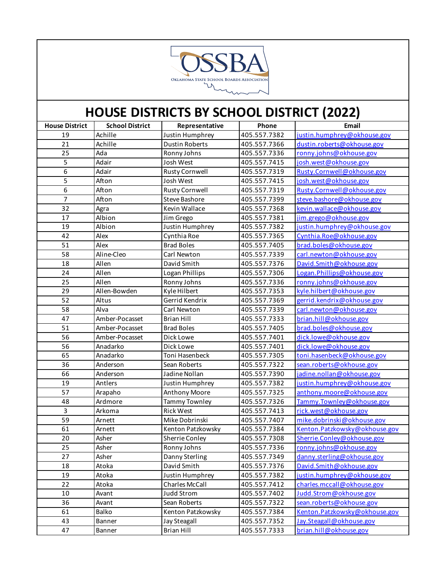

| <b>House District</b> | <b>School District</b> | Representative        | Phone        | Email                         |
|-----------------------|------------------------|-----------------------|--------------|-------------------------------|
| 19                    | Achille                | Justin Humphrey       | 405.557.7382 | justin.humphrey@okhouse.gov   |
| 21                    | Achille                | <b>Dustin Roberts</b> | 405.557.7366 | dustin.roberts@okhouse.gov    |
| 25                    | Ada                    | Ronny Johns           | 405.557.7336 | ronny.johns@okhouse.gov       |
| $\overline{5}$        | Adair                  | Josh West             | 405.557.7415 | josh.west@okhouse.gov         |
| $\overline{6}$        | Adair                  | <b>Rusty Cornwell</b> | 405.557.7319 | Rusty.Cornwell@okhouse.gov    |
| 5                     | Afton                  | Josh West             | 405.557.7415 | josh.west@okhouse.gov         |
| 6                     | Afton                  | <b>Rusty Cornwell</b> | 405.557.7319 | Rusty.Cornwell@okhouse.gov    |
| $\overline{7}$        | Afton                  | <b>Steve Bashore</b>  | 405.557.7399 | steve.bashore@okhouse.gov     |
| 32                    | Agra                   | Kevin Wallace         | 405.557.7368 | kevin.wallace@okhouse.gov     |
| 17                    | Albion                 | Jim Grego             | 405.557.7381 | jim.grego@okhouse.gov         |
| 19                    | Albion                 | Justin Humphrey       | 405.557.7382 | justin.humphrey@okhouse.gov   |
| 42                    | Alex                   | Cynthia Roe           | 405.557.7365 | Cynthia.Roe@okhouse.gov       |
| 51                    | Alex                   | <b>Brad Boles</b>     | 405.557.7405 | brad.boles@okhouse.gov        |
| 58                    | Aline-Cleo             | Carl Newton           | 405.557.7339 | carl.newton@okhouse.gov       |
| 18                    | Allen                  | David Smith           | 405.557.7376 | David.Smith@okhouse.gov       |
| 24                    | Allen                  | Logan Phillips        | 405.557.7306 | Logan.Phillips@okhouse.gov    |
| 25                    | Allen                  | Ronny Johns           | 405.557.7336 | ronny.johns@okhouse.gov       |
| 29                    | Allen-Bowden           | Kyle Hilbert          | 405.557.7353 | kyle.hilbert@okhouse.gov      |
| 52                    | Altus                  | Gerrid Kendrix        | 405.557.7369 | gerrid.kendrix@okhouse.gov    |
| 58                    | Alva                   | Carl Newton           | 405.557.7339 | carl.newton@okhouse.gov       |
| 47                    | Amber-Pocasset         | <b>Brian Hill</b>     | 405.557.7333 | brian.hill@okhouse.gov        |
| 51                    | Amber-Pocasset         | <b>Brad Boles</b>     | 405.557.7405 | brad.boles@okhouse.gov        |
| 56                    | Amber-Pocasset         | Dick Lowe             | 405.557.7401 | dick.lowe@okhouse.gov         |
| 56                    | Anadarko               | Dick Lowe             | 405.557.7401 | dick.lowe@okhouse.gov         |
| 65                    | Anadarko               | Toni Hasenbeck        | 405.557.7305 | toni.hasenbeck@okhouse.gov    |
| 36                    | Anderson               | Sean Roberts          | 405.557.7322 | sean.roberts@okhouse.gov      |
| 66                    | Anderson               | Jadine Nollan         | 405.557.7390 | jadine.nollan@okhouse.gov     |
| 19                    | Antlers                | Justin Humphrey       | 405.557.7382 | justin.humphrey@okhouse.gov   |
| 57                    | Arapaho                | Anthony Moore         | 405.557.7325 | anthony.moore@okhouse.gov     |
| 48                    | Ardmore                | Tammy Townley         | 405.557.7326 | Tammy.Townley@okhouse.gov     |
| 3                     | Arkoma                 | <b>Rick West</b>      | 405.557.7413 | rick.west@okhouse.gov         |
| 59                    | Arnett                 | Mike Dobrinski        | 405.557.7407 | mike.dobrinski@okhouse.gov    |
| 61                    | Arnett                 | Kenton Patzkowsky     | 405.557.7384 | Kenton.Patzkowsky@okhouse.gov |
| 20                    | Asher                  | Sherrie Conley        | 405.557.7308 | Sherrie.Conley@okhouse.gov    |
| 25                    | Asher                  | Ronny Johns           | 405.557.7336 | ronny.johns@okhouse.gov       |
| 27                    | Asher                  | Danny Sterling        | 405.557.7349 | danny.sterling@okhouse.gov    |
| 18                    | Atoka                  | David Smith           | 405.557.7376 | David.Smith@okhouse.gov       |
| 19                    | Atoka                  | Justin Humphrey       | 405.557.7382 | justin.humphrey@okhouse.gov   |
| 22                    | Atoka                  | <b>Charles McCall</b> | 405.557.7412 | charles.mccall@okhouse.gov    |
| 10                    | Avant                  | <b>Judd Strom</b>     | 405.557.7402 | Judd.Strom@okhouse.gov        |
| 36                    | Avant                  | Sean Roberts          | 405.557.7322 | sean.roberts@okhouse.gov      |
| 61                    | Balko                  | Kenton Patzkowsky     | 405.557.7384 | Kenton.Patzkowsky@okhouse.gov |
| 43                    | Banner                 | <b>Jay Steagall</b>   | 405.557.7352 | Jay.Steagall@okhouse.gov      |
| 47                    | Banner                 | <b>Brian Hill</b>     | 405.557.7333 | brian.hill@okhouse.gov        |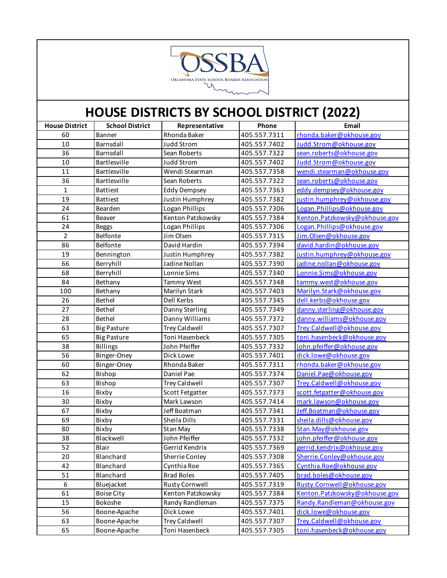

| <b>House District</b> | <b>School District</b> | Representative        | Phone        | Email                         |
|-----------------------|------------------------|-----------------------|--------------|-------------------------------|
| 60                    | <b>Banner</b>          | Rhonda Baker          | 405.557.7311 | rhonda.baker@okhouse.gov      |
| 10                    | Barnsdall              | <b>Judd Strom</b>     | 405.557.7402 | Judd.Strom@okhouse.gov        |
| 36                    | Barnsdall              | Sean Roberts          | 405.557.7322 | sean.roberts@okhouse.gov      |
| 10                    | Bartlesville           | <b>Judd Strom</b>     | 405.557.7402 | Judd.Strom@okhouse.gov        |
| 11                    | Bartlesville           | Wendi Stearman        | 405.557.7358 | wendi.stearman@okhouse.gov    |
| 36                    | Bartlesville           | Sean Roberts          | 405.557.7322 | sean.roberts@okhouse.gov      |
| $\mathbf{1}$          | <b>Battiest</b>        | <b>Eddy Dempsey</b>   | 405.557.7363 | eddy.dempsey@okhouse.gov      |
| 19                    | <b>Battiest</b>        | Justin Humphrey       | 405.557.7382 | justin.humphrey@okhouse.gov   |
| 24                    | Bearden                | Logan Phillips        | 405.557.7306 | Logan.Phillips@okhouse.gov    |
| 61                    | Beaver                 | Kenton Patzkowsky     | 405.557.7384 | Kenton.Patzkowsky@okhouse.gov |
| 24                    | <b>Beggs</b>           | Logan Phillips        | 405.557.7306 | Logan.Phillips@okhouse.gov    |
| $\overline{2}$        | Belfonte               | Jim Olsen             | 405.557.7315 | Jim.Olsen@okhouse.gov         |
| 86                    | Belfonte               | David Hardin          | 405.557.7394 | david.hardin@okhouse.gov      |
| 19                    | Bennington             | Justin Humphrey       | 405.557.7382 | justin.humphrey@okhouse.gov   |
| 66                    | Berryhill              | Jadine Nollan         | 405.557.7390 | jadine.nollan@okhouse.gov     |
| 68                    | Berryhill              | Lonnie Sims           | 405.557.7340 | Lonnie.Sims@okhouse.gov       |
| 84                    | Bethany                | Tammy West            | 405.557.7348 | tammy.west@okhouse.gov        |
| 100                   | Bethany                | Marilyn Stark         | 405.557.7403 | Marilyn.Stark@okhouse.gov     |
| 26                    | Bethel                 | Dell Kerbs            | 405.557.7345 | dell.kerbs@okhouse.gov        |
| 27                    | Bethel                 | Danny Sterling        | 405.557.7349 | danny.sterling@okhouse.gov    |
| 28                    | Bethel                 | Danny Williams        | 405.557.7372 | danny.williams@okhouse.gov    |
| 63                    | <b>Big Pasture</b>     | <b>Trey Caldwell</b>  | 405.557.7307 | Trey.Caldwell@okhouse.gov     |
| 65                    | <b>Big Pasture</b>     | Toni Hasenbeck        | 405.557.7305 | toni.hasenbeck@okhouse.gov    |
| 38                    | <b>Billings</b>        | John Pfeiffer         | 405.557.7332 | john.pfeiffer@okhouse.gov     |
| 56                    | Binger-Oney            | Dick Lowe             | 405.557.7401 | dick.lowe@okhouse.gov         |
| 60                    | Binger-Oney            | Rhonda Baker          | 405.557.7311 | rhonda.baker@okhouse.gov      |
| 62                    | Bishop                 | Daniel Pae            | 405.557.7374 | Daniel.Pae@okhouse.gov        |
| 63                    | Bishop                 | <b>Trey Caldwell</b>  | 405.557.7307 | Trey.Caldwell@okhouse.gov     |
| 16                    | Bixby                  | Scott Fetgatter       | 405.557.7373 | scott.fetgatter@okhouse.gov   |
| 30                    | Bixby                  | Mark Lawson           | 405.557.7414 | mark.lawson@okhouse.gov       |
| 67                    | Bixby                  | Jeff Boatman          | 405.557.7341 | Jeff.Boatman@okhouse.gov      |
| 69                    | Bixby                  | Sheila Dills          | 405.557.7331 | sheila.dills@okhouse.gov      |
| 80                    | Bixby                  | Stan May              | 405.557.7338 | Stan.May@okhouse.gov          |
| 38                    | Blackwell              | John Pfeiffer         | 405.557.7332 | john.pfeiffer@okhouse.gov     |
| 52                    | Blair                  | Gerrid Kendrix        | 405.557.7369 | gerrid.kendrix@okhouse.gov    |
| 20                    | Blanchard              | Sherrie Conley        | 405.557.7308 | Sherrie.Conley@okhouse.gov    |
| 42                    | Blanchard              | Cynthia Roe           | 405.557.7365 | Cynthia.Roe@okhouse.gov       |
| 51                    | Blanchard              | <b>Brad Boles</b>     | 405.557.7405 | brad.boles@okhouse.gov        |
| 6                     | Bluejacket             | <b>Rusty Cornwell</b> | 405.557.7319 | Rusty.Cornwell@okhouse.gov    |
| 61                    | <b>Boise City</b>      | Kenton Patzkowsky     | 405.557.7384 | Kenton.Patzkowsky@okhouse.gov |
| 15                    | Bokoshe                | Randy Randleman       | 405.557.7375 | Randy.Randleman@okhouse.gov   |
| 56                    | Boone-Apache           | Dick Lowe             | 405.557.7401 | dick.lowe@okhouse.gov         |
| 63                    | Boone-Apache           | <b>Trey Caldwell</b>  | 405.557.7307 | Trey.Caldwell@okhouse.gov     |
| 65                    | Boone-Apache           | Toni Hasenbeck        | 405.557.7305 | toni.hasenbeck@okhouse.gov    |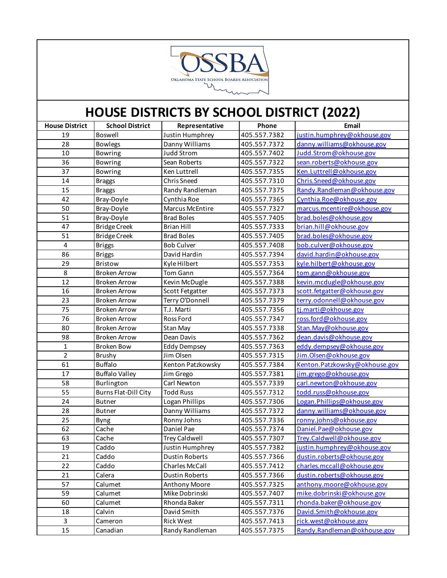

| <b>House District</b>   | <b>School District</b>      | Representative        | Phone        | Email                         |
|-------------------------|-----------------------------|-----------------------|--------------|-------------------------------|
| 19                      | Boswell                     | Justin Humphrey       | 405.557.7382 | justin.humphrey@okhouse.gov   |
| 28                      | <b>Bowlegs</b>              | Danny Williams        | 405.557.7372 | danny.williams@okhouse.gov    |
| 10                      | <b>Bowring</b>              | Judd Strom            | 405.557.7402 | Judd.Strom@okhouse.gov        |
| 36                      | <b>Bowring</b>              | Sean Roberts          | 405.557.7322 | sean.roberts@okhouse.gov      |
| 37                      | <b>Bowring</b>              | Ken Luttrell          | 405.557.7355 | Ken.Luttrell@okhouse.gov      |
| 14                      | <b>Braggs</b>               | Chris Sneed           | 405.557.7310 | Chris.Sneed@okhouse.gov       |
| 15                      | <b>Braggs</b>               | Randy Randleman       | 405.557.7375 | Randy.Randleman@okhouse.gov   |
| 42                      | Bray-Doyle                  | Cynthia Roe           | 405.557.7365 | Cynthia.Roe@okhouse.gov       |
| 50                      | Bray-Doyle                  | Marcus McEntire       | 405.557.7327 | marcus.mcentire@okhouse.gov   |
| 51                      | Bray-Doyle                  | <b>Brad Boles</b>     | 405.557.7405 | brad.boles@okhouse.gov        |
| 47                      | <b>Bridge Creek</b>         | <b>Brian Hill</b>     | 405.557.7333 | brian.hill@okhouse.gov        |
| 51                      | <b>Bridge Creek</b>         | <b>Brad Boles</b>     | 405.557.7405 | brad.boles@okhouse.gov        |
| $\overline{\mathbf{4}}$ | <b>Briggs</b>               | <b>Bob Culver</b>     | 405.557.7408 | bob.culver@okhouse.gov        |
| 86                      | <b>Briggs</b>               | David Hardin          | 405.557.7394 | david.hardin@okhouse.gov      |
| 29                      | Bristow                     | Kyle Hilbert          | 405.557.7353 | kyle.hilbert@okhouse.gov      |
| 8                       | <b>Broken Arrow</b>         | Tom Gann              | 405.557.7364 | tom.gann@okhouse.gov          |
| $\overline{12}$         | <b>Broken Arrow</b>         | Kevin McDugle         | 405.557.7388 | kevin.mcdugle@okhouse.gov     |
| 16                      | <b>Broken Arrow</b>         | Scott Fetgatter       | 405.557.7373 | scott.fetgatter@okhouse.gov   |
| 23                      | <b>Broken Arrow</b>         | Terry O'Donnell       | 405.557.7379 | terry.odonnell@okhouse.gov    |
| 75                      | <b>Broken Arrow</b>         | T.J. Marti            | 405.557.7356 | tj.marti@okhouse.gov          |
| 76                      | <b>Broken Arrow</b>         | <b>Ross Ford</b>      | 405.557.7347 | ross.ford@okhouse.gov         |
| 80                      | <b>Broken Arrow</b>         | <b>Stan May</b>       | 405.557.7338 | Stan.May@okhouse.gov          |
| 98                      | <b>Broken Arrow</b>         | Dean Davis            | 405.557.7362 | dean.davis@okhouse.gov        |
| $\mathbf{1}$            | <b>Broken Bow</b>           | <b>Eddy Dempsey</b>   | 405.557.7363 | eddy.dempsey@okhouse.gov      |
| $\overline{2}$          | Brushy                      | Jim Olsen             | 405.557.7315 | Jim.Olsen@okhouse.gov         |
| 61                      | <b>Buffalo</b>              | Kenton Patzkowsky     | 405.557.7384 | Kenton.Patzkowsky@okhouse.gov |
| 17                      | <b>Buffalo Valley</b>       | Jim Grego             | 405.557.7381 | jim.grego@okhouse.gov         |
| 58                      | Burlington                  | Carl Newton           | 405.557.7339 | carl.newton@okhouse.gov       |
| 55                      | <b>Burns Flat-Dill City</b> | <b>Todd Russ</b>      | 405.557.7312 | todd.russ@okhouse.gov         |
| 24                      | <b>Butner</b>               | Logan Phillips        | 405.557.7306 | Logan. Phillips@okhouse.gov   |
| 28                      | <b>Butner</b>               | Danny Williams        | 405.557.7372 | danny.williams@okhouse.gov    |
| 25                      | Byng                        | Ronny Johns           | 405.557.7336 | ronny.johns@okhouse.gov       |
| 62                      | Cache                       | Daniel Pae            | 405.557.7374 | Daniel.Pae@okhouse.gov        |
| 63                      | Cache                       | <b>Trey Caldwell</b>  | 405.557.7307 | Trey.Caldwell@okhouse.gov     |
| 19                      | Caddo                       | Justin Humphrey       | 405.557.7382 | justin.humphrey@okhouse.gov   |
| 21                      | Caddo                       | <b>Dustin Roberts</b> | 405.557.7366 | dustin.roberts@okhouse.gov    |
| 22                      | Caddo                       | <b>Charles McCall</b> | 405.557.7412 | charles.mccall@okhouse.gov    |
| 21                      | Calera                      | <b>Dustin Roberts</b> | 405.557.7366 | dustin.roberts@okhouse.gov    |
| 57                      | Calumet                     | <b>Anthony Moore</b>  | 405.557.7325 | anthony.moore@okhouse.gov     |
| 59                      | Calumet                     | Mike Dobrinski        | 405.557.7407 | mike.dobrinski@okhouse.gov    |
| 60                      | Calumet                     | Rhonda Baker          | 405.557.7311 | rhonda.baker@okhouse.gov      |
| 18                      | Calvin                      | David Smith           | 405.557.7376 | David.Smith@okhouse.gov       |
| 3                       | Cameron                     | <b>Rick West</b>      | 405.557.7413 | rick.west@okhouse.gov         |
| 15                      | Canadian                    | Randy Randleman       | 405.557.7375 | Randy.Randleman@okhouse.gov   |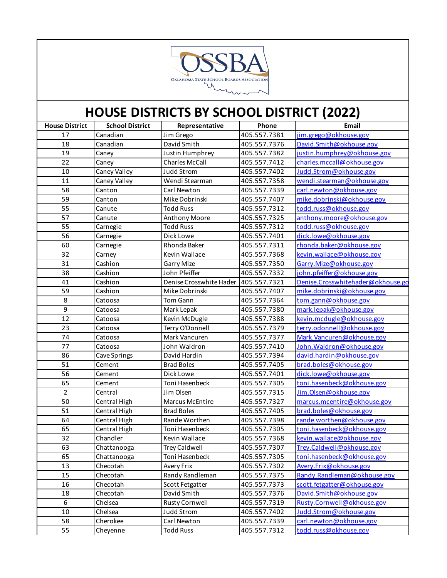

| <b>House District</b> | <b>School District</b> | Representative          | Phone        | Email                             |
|-----------------------|------------------------|-------------------------|--------------|-----------------------------------|
| 17                    | Canadian               | Jim Grego               | 405.557.7381 | jim.grego@okhouse.gov             |
| 18                    | Canadian               | David Smith             | 405.557.7376 | David.Smith@okhouse.gov           |
| 19                    | Caney                  | Justin Humphrey         | 405.557.7382 | justin.humphrey@okhouse.gov       |
| 22                    | Caney                  | Charles McCall          | 405.557.7412 | charles.mccall@okhouse.gov        |
| 10                    | Caney Valley           | <b>Judd Strom</b>       | 405.557.7402 | Judd.Strom@okhouse.gov            |
| 11                    | Caney Valley           | Wendi Stearman          | 405.557.7358 | wendi.stearman@okhouse.gov        |
| 58                    | Canton                 | Carl Newton             | 405.557.7339 | carl.newton@okhouse.gov           |
| 59                    | Canton                 | Mike Dobrinski          | 405.557.7407 | mike.dobrinski@okhouse.gov        |
| 55                    | Canute                 | <b>Todd Russ</b>        | 405.557.7312 | todd.russ@okhouse.gov             |
| 57                    | Canute                 | Anthony Moore           | 405.557.7325 | anthony.moore@okhouse.gov         |
| 55                    | Carnegie               | <b>Todd Russ</b>        | 405.557.7312 | todd.russ@okhouse.gov             |
| 56                    | Carnegie               | Dick Lowe               | 405.557.7401 | dick.lowe@okhouse.gov             |
| 60                    | Carnegie               | Rhonda Baker            | 405.557.7311 | rhonda.baker@okhouse.gov          |
| 32                    | Carney                 | Kevin Wallace           | 405.557.7368 | kevin.wallace@okhouse.gov         |
| 31                    | Cashion                | <b>Garry Mize</b>       | 405.557.7350 | Garry.Mize@okhouse.gov            |
| 38                    | Cashion                | John Pfeiffer           | 405.557.7332 | john.pfeiffer@okhouse.gov         |
| 41                    | Cashion                | Denise Crosswhite Hader | 405.557.7321 | Denise.Crosswhitehader@okhouse.go |
| 59                    | Cashion                | Mike Dobrinski          | 405.557.7407 | mike.dobrinski@okhouse.gov        |
| 8                     | Catoosa                | Tom Gann                | 405.557.7364 | tom.gann@okhouse.gov              |
| 9                     | Catoosa                | Mark Lepak              | 405.557.7380 | mark.lepak@okhouse.gov            |
| 12                    | Catoosa                | Kevin McDugle           | 405.557.7388 | kevin.mcdugle@okhouse.gov         |
| 23                    | Catoosa                | Terry O'Donnell         | 405.557.7379 | terry.odonnell@okhouse.gov        |
| 74                    | Catoosa                | Mark Vancuren           | 405.557.7377 | Mark. Vancuren@okhouse.gov        |
| 77                    | Catoosa                | John Waldron            | 405.557.7410 | John. Waldron@okhouse.gov         |
| 86                    | Cave Springs           | David Hardin            | 405.557.7394 | david.hardin@okhouse.gov          |
| 51                    | Cement                 | <b>Brad Boles</b>       | 405.557.7405 | brad.boles@okhouse.gov            |
| 56                    | Cement                 | Dick Lowe               | 405.557.7401 | dick.lowe@okhouse.gov             |
| 65                    | Cement                 | Toni Hasenbeck          | 405.557.7305 | toni.hasenbeck@okhouse.gov        |
| $\overline{2}$        | Central                | Jim Olsen               | 405.557.7315 | Jim.Olsen@okhouse.gov             |
| 50                    | Central High           | Marcus McEntire         | 405.557.7327 | marcus.mcentire@okhouse.gov       |
| 51                    | Central High           | <b>Brad Boles</b>       | 405.557.7405 | brad.boles@okhouse.gov            |
| 64                    | Central High           | Rande Worthen           | 405.557.7398 | rande.worthen@okhouse.gov         |
| 65                    | Central High           | Toni Hasenbeck          | 405.557.7305 | toni.hasenbeck@okhouse.gov        |
| 32                    | Chandler               | Kevin Wallace           | 405.557.7368 | kevin.wallace@okhouse.gov         |
| 63                    | Chattanooga            | Trey Caldwell           | 405.557.7307 | Trey.Caldwell@okhouse.gov         |
| 65                    | Chattanooga            | Toni Hasenbeck          | 405.557.7305 | toni.hasenbeck@okhouse.gov        |
| 13                    | Checotah               | Avery Frix              | 405.557.7302 | Avery.Frix@okhouse.gov            |
| 15                    | Checotah               | Randy Randleman         | 405.557.7375 | Randy.Randleman@okhouse.gov       |
| 16                    | Checotah               | Scott Fetgatter         | 405.557.7373 | scott.fetgatter@okhouse.gov       |
| 18                    | Checotah               | David Smith             | 405.557.7376 | David.Smith@okhouse.gov           |
| 6                     | Chelsea                | <b>Rusty Cornwell</b>   | 405.557.7319 | Rusty.Cornwell@okhouse.gov        |
| $10\,$                | Chelsea                | <b>Judd Strom</b>       | 405.557.7402 | Judd.Strom@okhouse.gov            |
| 58                    | Cherokee               | Carl Newton             | 405.557.7339 | carl.newton@okhouse.gov           |
| 55                    | Cheyenne               | <b>Todd Russ</b>        | 405.557.7312 | todd.russ@okhouse.gov             |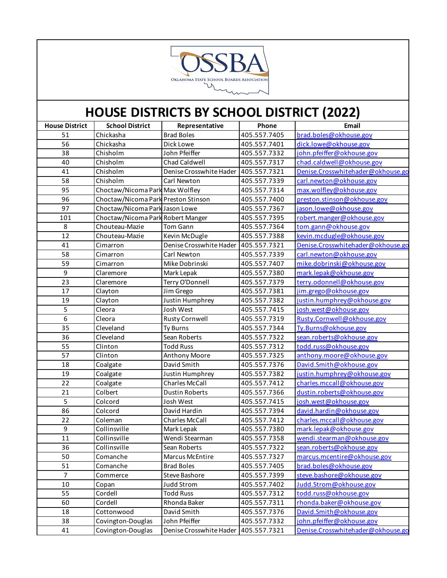

| <b>House District</b> | <b>School District</b>              | Representative                       | Phone        | Email                             |
|-----------------------|-------------------------------------|--------------------------------------|--------------|-----------------------------------|
| 51                    | Chickasha                           | <b>Brad Boles</b>                    | 405.557.7405 | brad.boles@okhouse.gov            |
| 56                    | Chickasha                           | Dick Lowe                            | 405.557.7401 | dick.lowe@okhouse.gov             |
| 38                    | Chisholm                            | John Pfeiffer                        | 405.557.7332 | john.pfeiffer@okhouse.gov         |
| 40                    | Chisholm                            | Chad Caldwell                        | 405.557.7317 | chad.caldwell@okhouse.gov         |
| 41                    | Chisholm                            | Denise Crosswhite Hader 405.557.7321 |              | Denise.Crosswhitehader@okhouse.go |
| 58                    | Chisholm                            | Carl Newton                          | 405.557.7339 | carl.newton@okhouse.gov           |
| 95                    | Choctaw/Nicoma Park Max Wolfley     |                                      | 405.557.7314 | max.wolfley@okhouse.gov           |
| 96                    | Choctaw/Nicoma Park Preston Stinson |                                      | 405.557.7400 | preston.stinson@okhouse.gov       |
| 97                    | Choctaw/Nicoma Park Jason Lowe      |                                      | 405.557.7367 | jason.lowe@okhouse.gov            |
| 101                   | Choctaw/Nicoma Park Robert Manger   |                                      | 405.557.7395 | robert.manger@okhouse.gov         |
| 8                     | Chouteau-Mazie                      | <b>Tom Gann</b>                      | 405.557.7364 | tom.gann@okhouse.gov              |
| 12                    | Chouteau-Mazie                      | Kevin McDugle                        | 405.557.7388 | kevin.mcdugle@okhouse.gov         |
| 41                    | Cimarron                            | Denise Crosswhite Hader              | 405.557.7321 | Denise.Crosswhitehader@okhouse.go |
| 58                    | Cimarron                            | Carl Newton                          | 405.557.7339 | carl.newton@okhouse.gov           |
| 59                    | Cimarron                            | Mike Dobrinski                       | 405.557.7407 | mike.dobrinski@okhouse.gov        |
| 9                     | Claremore                           | Mark Lepak                           | 405.557.7380 | mark.lepak@okhouse.gov            |
| 23                    | Claremore                           | Terry O'Donnell                      | 405.557.7379 | terry.odonnell@okhouse.gov        |
| 17                    | Clayton                             | Jim Grego                            | 405.557.7381 | jim.grego@okhouse.gov             |
| 19                    | Clayton                             | Justin Humphrey                      | 405.557.7382 | justin.humphrey@okhouse.gov       |
| 5                     | Cleora                              | Josh West                            | 405.557.7415 | josh.west@okhouse.gov             |
| 6                     | Cleora                              | <b>Rusty Cornwell</b>                | 405.557.7319 | Rusty.Cornwell@okhouse.gov        |
| 35                    | Cleveland                           | Ty Burns                             | 405.557.7344 | Ty.Burns@okhouse.gov              |
| 36                    | Cleveland                           | Sean Roberts                         | 405.557.7322 | sean.roberts@okhouse.gov          |
| 55                    | Clinton                             | <b>Todd Russ</b>                     | 405.557.7312 | todd.russ@okhouse.gov             |
| 57                    | Clinton                             | Anthony Moore                        | 405.557.7325 | anthony.moore@okhouse.gov         |
| 18                    | Coalgate                            | David Smith                          | 405.557.7376 | David.Smith@okhouse.gov           |
| 19                    | Coalgate                            | Justin Humphrey                      | 405.557.7382 | justin.humphrey@okhouse.gov       |
| 22                    | Coalgate                            | <b>Charles McCall</b>                | 405.557.7412 | charles.mccall@okhouse.gov        |
| 21                    | Colbert                             | <b>Dustin Roberts</b>                | 405.557.7366 | dustin.roberts@okhouse.gov        |
| 5                     | Colcord                             | Josh West                            | 405.557.7415 | josh.west@okhouse.gov             |
| 86                    | Colcord                             | David Hardin                         | 405.557.7394 | david.hardin@okhouse.gov          |
| 22                    | Coleman                             | <b>Charles McCall</b>                | 405.557.7412 | charles.mccall@okhouse.gov        |
| 9                     | Collinsville                        | Mark Lepak                           | 405.557.7380 | mark.lepak@okhouse.gov            |
| 11                    | Collinsville                        | Wendi Stearman                       | 405.557.7358 | wendi.stearman@okhouse.gov        |
| 36                    | Collinsville                        | Sean Roberts                         | 405.557.7322 | sean.roberts@okhouse.gov          |
| 50                    | Comanche                            | Marcus McEntire                      | 405.557.7327 | marcus.mcentire@okhouse.gov       |
| 51                    | Comanche                            | <b>Brad Boles</b>                    | 405.557.7405 | brad.boles@okhouse.gov            |
| $\overline{7}$        | Commerce                            | <b>Steve Bashore</b>                 | 405.557.7399 | steve.bashore@okhouse.gov         |
| 10                    | Copan                               | <b>Judd Strom</b>                    | 405.557.7402 | Judd.Strom@okhouse.gov            |
| 55                    | Cordell                             | <b>Todd Russ</b>                     | 405.557.7312 | todd.russ@okhouse.gov             |
| 60                    | Cordell                             | Rhonda Baker                         | 405.557.7311 | rhonda.baker@okhouse.gov          |
| 18                    | Cottonwood                          | David Smith                          | 405.557.7376 | David.Smith@okhouse.gov           |
| 38                    | Covington-Douglas                   | John Pfeiffer                        | 405.557.7332 | john.pfeiffer@okhouse.gov         |
| 41                    | Covington-Douglas                   | Denise Crosswhite Hader              | 405.557.7321 | Denise.Crosswhitehader@okhouse.go |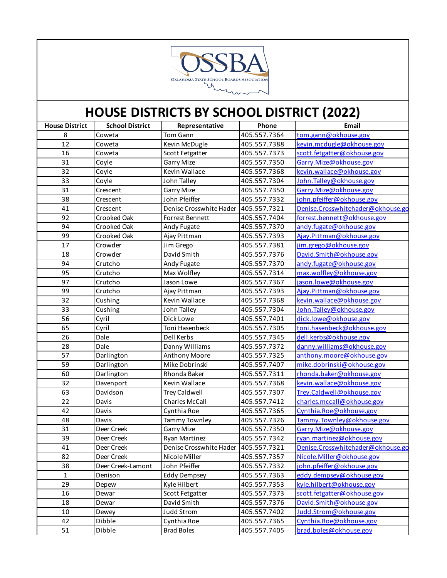

| <b>House District</b> | <b>School District</b> | Representative                       | Phone        | Email                             |
|-----------------------|------------------------|--------------------------------------|--------------|-----------------------------------|
| 8                     | Coweta                 | Tom Gann                             | 405.557.7364 | tom.gann@okhouse.gov              |
| 12                    | Coweta                 | Kevin McDugle                        | 405.557.7388 | kevin.mcdugle@okhouse.gov         |
| 16                    | Coweta                 | Scott Fetgatter                      | 405.557.7373 | scott.fetgatter@okhouse.gov       |
| 31                    | Coyle                  | <b>Garry Mize</b>                    | 405.557.7350 | Garry.Mize@okhouse.gov            |
| 32                    | Coyle                  | Kevin Wallace                        | 405.557.7368 | kevin.wallace@okhouse.gov         |
| 33                    | Coyle                  | John Talley                          | 405.557.7304 | John. Talley@okhouse.gov          |
| 31                    | Crescent               | <b>Garry Mize</b>                    | 405.557.7350 | Garry. Mize@okhouse.gov           |
| 38                    | Crescent               | John Pfeiffer                        | 405.557.7332 | john.pfeiffer@okhouse.gov         |
| 41                    | Crescent               | Denise Crosswhite Hader              | 405.557.7321 | Denise.Crosswhitehader@okhouse.go |
| 92                    | Crooked Oak            | Forrest Bennett                      | 405.557.7404 | forrest.bennett@okhouse.gov       |
| 94                    | Crooked Oak            | Andy Fugate                          | 405.557.7370 | andy.fugate@okhouse.gov           |
| 99                    | Crooked Oak            | Ajay Pittman                         | 405.557.7393 | Ajay.Pittman@okhouse.gov          |
| 17                    | Crowder                | Jim Grego                            | 405.557.7381 | jim.grego@okhouse.gov             |
| 18                    | Crowder                | David Smith                          | 405.557.7376 | David.Smith@okhouse.gov           |
| 94                    | Crutcho                | Andy Fugate                          | 405.557.7370 | andy.fugate@okhouse.gov           |
| 95                    | Crutcho                | Max Wolfley                          | 405.557.7314 | max.wolfley@okhouse.gov           |
| 97                    | Crutcho                | Jason Lowe                           | 405.557.7367 | jason.lowe@okhouse.gov            |
| 99                    | Crutcho                | Ajay Pittman                         | 405.557.7393 | Ajay.Pittman@okhouse.gov          |
| 32                    | Cushing                | Kevin Wallace                        | 405.557.7368 | kevin.wallace@okhouse.gov         |
| 33                    | Cushing                | John Talley                          | 405.557.7304 | John. Talley@okhouse.gov          |
| 56                    | Cyril                  | Dick Lowe                            | 405.557.7401 | dick.lowe@okhouse.gov             |
| 65                    | Cyril                  | Toni Hasenbeck                       | 405.557.7305 | toni.hasenbeck@okhouse.gov        |
| 26                    | Dale                   | Dell Kerbs                           | 405.557.7345 | dell.kerbs@okhouse.gov            |
| 28                    | Dale                   | Danny Williams                       | 405.557.7372 | danny.williams@okhouse.gov        |
| 57                    | Darlington             | Anthony Moore                        | 405.557.7325 | anthony.moore@okhouse.gov         |
| 59                    | Darlington             | Mike Dobrinski                       | 405.557.7407 | mike.dobrinski@okhouse.gov        |
| 60                    | Darlington             | Rhonda Baker                         | 405.557.7311 | rhonda.baker@okhouse.gov          |
| 32                    | Davenport              | Kevin Wallace                        | 405.557.7368 | kevin.wallace@okhouse.gov         |
| 63                    | Davidson               | <b>Trey Caldwell</b>                 | 405.557.7307 | Trey.Caldwell@okhouse.gov         |
| 22                    | Davis                  | Charles McCall                       | 405.557.7412 | charles.mccall@okhouse.gov        |
| 42                    | Davis                  | Cynthia Roe                          | 405.557.7365 | Cynthia.Roe@okhouse.gov           |
| 48                    | Davis                  | Tammy Townley                        | 405.557.7326 | Tammy.Townley@okhouse.gov         |
| 31                    | Deer Creek             | <b>Garry Mize</b>                    | 405.557.7350 | Garry.Mize@okhouse.gov            |
| 39                    | Deer Creek             | <b>Ryan Martinez</b>                 | 405.557.7342 | ryan.martinez@okhouse.gov         |
| 41                    | Deer Creek             | Denise Crosswhite Hader 405.557.7321 |              | Denise.Crosswhitehader@okhouse.go |
| 82                    | Deer Creek             | Nicole Miller                        | 405.557.7357 | Nicole.Miller@okhouse.gov         |
| 38                    | Deer Creek-Lamont      | John Pfeiffer                        | 405.557.7332 | john.pfeiffer@okhouse.gov         |
| $1\,$                 | Denison                | <b>Eddy Dempsey</b>                  | 405.557.7363 | eddy.dempsey@okhouse.gov          |
| 29                    | Depew                  | Kyle Hilbert                         | 405.557.7353 | kyle.hilbert@okhouse.gov          |
| 16                    | Dewar                  | Scott Fetgatter                      | 405.557.7373 | scott.fetgatter@okhouse.gov       |
| 18                    | Dewar                  | David Smith                          | 405.557.7376 | David.Smith@okhouse.gov           |
| 10                    | Dewey                  | <b>Judd Strom</b>                    | 405.557.7402 | Judd.Strom@okhouse.gov            |
| 42                    | Dibble                 | Cynthia Roe                          | 405.557.7365 | Cynthia.Roe@okhouse.gov           |
| 51                    | Dibble                 | <b>Brad Boles</b>                    | 405.557.7405 | brad.boles@okhouse.gov            |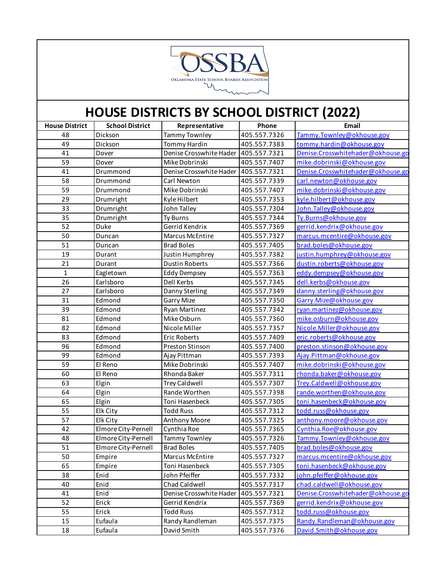

| <b>House District</b> | <b>School District</b> | Representative                         | Phone        | Email                             |
|-----------------------|------------------------|----------------------------------------|--------------|-----------------------------------|
| 48                    | Dickson                | <b>Tammy Townley</b>                   | 405.557.7326 | Tammy. Townley@okhouse.gov        |
| 49                    | Dickson                | <b>Tommy Hardin</b>                    | 405.557.7383 | tommy.hardin@okhouse.gov          |
| 41                    | Dover                  | Denise Crosswhite Hader   405.557.7321 |              | Denise.Crosswhitehader@okhouse.go |
| 59                    | Dover                  | Mike Dobrinski                         | 405.557.7407 | mike.dobrinski@okhouse.gov        |
| 41                    | Drummond               | Denise Crosswhite Hader   405.557.7321 |              | Denise.Crosswhitehader@okhouse.go |
| 58                    | Drummond               | Carl Newton                            | 405.557.7339 | carl.newton@okhouse.gov           |
| 59                    | Drummond               | Mike Dobrinski                         | 405.557.7407 | mike.dobrinski@okhouse.gov        |
| 29                    | Drumright              | Kyle Hilbert                           | 405.557.7353 | kyle.hilbert@okhouse.gov          |
| 33                    | Drumright              | John Talley                            | 405.557.7304 | John. Talley@okhouse.gov          |
| 35                    | Drumright              | Ty Burns                               | 405.557.7344 | Ty.Burns@okhouse.gov              |
| 52                    | Duke                   | Gerrid Kendrix                         | 405.557.7369 | gerrid.kendrix@okhouse.gov        |
| 50                    | Duncan                 | Marcus McEntire                        | 405.557.7327 | marcus.mcentire@okhouse.gov       |
| 51                    | Duncan                 | <b>Brad Boles</b>                      | 405.557.7405 | brad.boles@okhouse.gov            |
| 19                    | Durant                 | Justin Humphrey                        | 405.557.7382 | justin.humphrey@okhouse.gov       |
| 21                    | Durant                 | <b>Dustin Roberts</b>                  | 405.557.7366 | dustin.roberts@okhouse.gov        |
| $\mathbf{1}$          | Eagletown              | <b>Eddy Dempsey</b>                    | 405.557.7363 | eddy.dempsey@okhouse.gov          |
| 26                    | Earlsboro              | Dell Kerbs                             | 405.557.7345 | dell.kerbs@okhouse.gov            |
| 27                    | Earlsboro              | Danny Sterling                         | 405.557.7349 | danny.sterling@okhouse.gov        |
| 31                    | Edmond                 | <b>Garry Mize</b>                      | 405.557.7350 | Garry. Mize@okhouse.gov           |
| 39                    | Edmond                 | <b>Ryan Martinez</b>                   | 405.557.7342 | ryan.martinez@okhouse.gov         |
| 81                    | Edmond                 | Mike Osburn                            | 405.557.7360 | mike.osburn@okhouse.gov           |
| 82                    | Edmond                 | Nicole Miller                          | 405.557.7357 | Nicole.Miller@okhouse.gov         |
| 83                    | Edmond                 | Eric Roberts                           | 405.557.7409 | eric.roberts@okhouse.gov          |
| 96                    | Edmond                 | Preston Stinson                        | 405.557.7400 | preston.stinson@okhouse.gov       |
| 99                    | Edmond                 | Ajay Pittman                           | 405.557.7393 | Ajay.Pittman@okhouse.gov          |
| 59                    | El Reno                | Mike Dobrinski                         | 405.557.7407 | mike.dobrinski@okhouse.gov        |
| 60                    | El Reno                | Rhonda Baker                           | 405.557.7311 | rhonda.baker@okhouse.gov          |
| 63                    | Elgin                  | <b>Trey Caldwell</b>                   | 405.557.7307 | Trey.Caldwell@okhouse.gov         |
| 64                    | Elgin                  | Rande Worthen                          | 405.557.7398 | rande.worthen@okhouse.gov         |
| 65                    | Elgin                  | Toni Hasenbeck                         | 405.557.7305 | toni.hasenbeck@okhouse.gov        |
| 55                    | Elk City               | <b>Todd Russ</b>                       | 405.557.7312 | todd.russ@okhouse.gov             |
| 57                    | Elk City               | <b>Anthony Moore</b>                   | 405.557.7325 | anthony.moore@okhouse.gov         |
| 42                    | Elmore City-Pernell    | Cynthia Roe                            | 405.557.7365 | Cynthia.Roe@okhouse.gov           |
| 48                    | Elmore City-Pernell    | <b>Tammy Townley</b>                   | 405.557.7326 | Tammy.Townley@okhouse.gov         |
| 51                    | Elmore City-Pernell    | <b>Brad Boles</b>                      | 405.557.7405 | brad.boles@okhouse.gov            |
| 50                    | Empire                 | Marcus McEntire                        | 405.557.7327 | marcus.mcentire@okhouse.gov       |
| 65                    | Empire                 | Toni Hasenbeck                         | 405.557.7305 | toni.hasenbeck@okhouse.gov        |
| 38                    | Enid                   | John Pfeiffer                          | 405.557.7332 | john.pfeiffer@okhouse.gov         |
| 40                    | Enid                   | Chad Caldwell                          | 405.557.7317 | chad.caldwell@okhouse.gov         |
| 41                    | Enid                   | Denise Crosswhite Hader                | 405.557.7321 | Denise.Crosswhitehader@okhouse.go |
| 52                    | Erick                  | Gerrid Kendrix                         | 405.557.7369 | gerrid.kendrix@okhouse.gov        |
| 55                    | Erick                  | <b>Todd Russ</b>                       | 405.557.7312 | todd.russ@okhouse.gov             |
| 15                    | Eufaula                | Randy Randleman                        | 405.557.7375 | Randy.Randleman@okhouse.gov       |
| 18                    | Eufaula                | David Smith                            | 405.557.7376 | David.Smith@okhouse.gov           |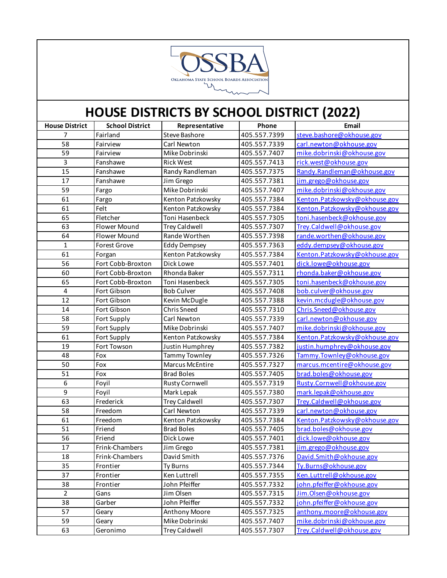

| <b>House District</b>   | <b>School District</b> | Representative        | Phone        | Email                         |
|-------------------------|------------------------|-----------------------|--------------|-------------------------------|
| 7                       | Fairland               | Steve Bashore         | 405.557.7399 | steve.bashore@okhouse.gov     |
| 58                      | Fairview               | Carl Newton           | 405.557.7339 | carl.newton@okhouse.gov       |
| 59                      | Fairview               | Mike Dobrinski        | 405.557.7407 | mike.dobrinski@okhouse.gov    |
| $\overline{3}$          | Fanshawe               | <b>Rick West</b>      | 405.557.7413 | rick.west@okhouse.gov         |
| 15                      | Fanshawe               | Randy Randleman       | 405.557.7375 | Randy.Randleman@okhouse.gov   |
| 17                      | Fanshawe               | Jim Grego             | 405.557.7381 | jim.grego@okhouse.gov         |
| 59                      | Fargo                  | Mike Dobrinski        | 405.557.7407 | mike.dobrinski@okhouse.gov    |
| 61                      | Fargo                  | Kenton Patzkowsky     | 405.557.7384 | Kenton.Patzkowsky@okhouse.gov |
| 61                      | Felt                   | Kenton Patzkowsky     | 405.557.7384 | Kenton.Patzkowsky@okhouse.gov |
| 65                      | Fletcher               | Toni Hasenbeck        | 405.557.7305 | toni.hasenbeck@okhouse.gov    |
| 63                      | Flower Mound           | <b>Trey Caldwell</b>  | 405.557.7307 | Trey.Caldwell@okhouse.gov     |
| 64                      | Flower Mound           | Rande Worthen         | 405.557.7398 | rande.worthen@okhouse.gov     |
| $\mathbf{1}$            | <b>Forest Grove</b>    | <b>Eddy Dempsey</b>   | 405.557.7363 | eddy.dempsey@okhouse.gov      |
| 61                      | Forgan                 | Kenton Patzkowsky     | 405.557.7384 | Kenton.Patzkowsky@okhouse.gov |
| 56                      | Fort Cobb-Broxton      | Dick Lowe             | 405.557.7401 | dick.lowe@okhouse.gov         |
| 60                      | Fort Cobb-Broxton      | Rhonda Baker          | 405.557.7311 | rhonda.baker@okhouse.gov      |
| 65                      | Fort Cobb-Broxton      | Toni Hasenbeck        | 405.557.7305 | toni.hasenbeck@okhouse.gov    |
| $\overline{\mathbf{4}}$ | Fort Gibson            | <b>Bob Culver</b>     | 405.557.7408 | bob.culver@okhouse.gov        |
| 12                      | Fort Gibson            | Kevin McDugle         | 405.557.7388 | kevin.mcdugle@okhouse.gov     |
| 14                      | Fort Gibson            | <b>Chris Sneed</b>    | 405.557.7310 | Chris.Sneed@okhouse.gov       |
| 58                      | Fort Supply            | Carl Newton           | 405.557.7339 | carl.newton@okhouse.gov       |
| 59                      | Fort Supply            | Mike Dobrinski        | 405.557.7407 | mike.dobrinski@okhouse.gov    |
| 61                      | Fort Supply            | Kenton Patzkowsky     | 405.557.7384 | Kenton.Patzkowsky@okhouse.gov |
| 19                      | Fort Towson            | Justin Humphrey       | 405.557.7382 | justin.humphrey@okhouse.gov   |
| 48                      | Fox                    | <b>Tammy Townley</b>  | 405.557.7326 | Tammy.Townley@okhouse.gov     |
| 50                      | Fox                    | Marcus McEntire       | 405.557.7327 | marcus.mcentire@okhouse.gov   |
| 51                      | Fox                    | <b>Brad Boles</b>     | 405.557.7405 | brad.boles@okhouse.gov        |
| 6                       | Foyil                  | <b>Rusty Cornwell</b> | 405.557.7319 | Rusty.Cornwell@okhouse.gov    |
| 9                       | Foyil                  | Mark Lepak            | 405.557.7380 | mark.lepak@okhouse.gov        |
| 63                      | Frederick              | <b>Trey Caldwell</b>  | 405.557.7307 | Trey.Caldwell@okhouse.gov     |
| 58                      | Freedom                | Carl Newton           | 405.557.7339 | carl.newton@okhouse.gov       |
| 61                      | Freedom                | Kenton Patzkowsky     | 405.557.7384 | Kenton.Patzkowsky@okhouse.gov |
| 51                      | Friend                 | <b>Brad Boles</b>     | 405.557.7405 | brad.boles@okhouse.gov        |
| 56                      | Friend                 | Dick Lowe             | 405.557.7401 | dick.lowe@okhouse.gov         |
| 17                      | Frink-Chambers         | Jim Grego             | 405.557.7381 | jim.grego@okhouse.gov         |
| 18                      | Frink-Chambers         | David Smith           | 405.557.7376 | David.Smith@okhouse.gov       |
| 35                      | Frontier               | Ty Burns              | 405.557.7344 | Ty.Burns@okhouse.gov          |
| 37                      | Frontier               | Ken Luttrell          | 405.557.7355 | Ken.Luttrell@okhouse.gov      |
| 38                      | Frontier               | John Pfeiffer         | 405.557.7332 | john.pfeiffer@okhouse.gov     |
| $\overline{2}$          | Gans                   | Jim Olsen             | 405.557.7315 | Jim.Olsen@okhouse.gov         |
| 38                      | Garber                 | John Pfeiffer         | 405.557.7332 | john.pfeiffer@okhouse.gov     |
| 57                      | Geary                  | Anthony Moore         | 405.557.7325 | anthony.moore@okhouse.gov     |
| 59                      | Geary                  | Mike Dobrinski        | 405.557.7407 | mike.dobrinski@okhouse.gov    |
| 63                      | Geronimo               | <b>Trey Caldwell</b>  | 405.557.7307 | Trey.Caldwell@okhouse.gov     |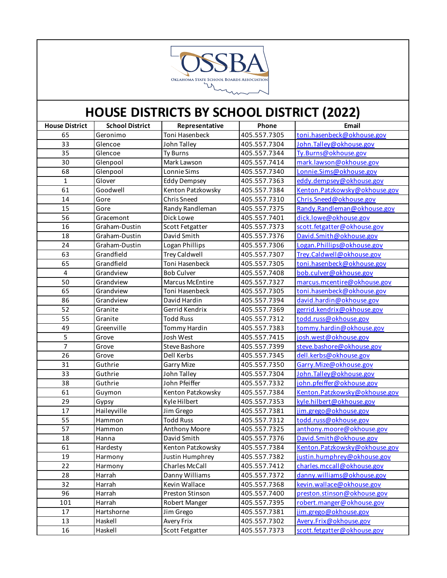

| <b>House District</b> | <b>School District</b> | Representative         | Phone        | Email                         |
|-----------------------|------------------------|------------------------|--------------|-------------------------------|
| 65                    | Geronimo               | Toni Hasenbeck         | 405.557.7305 | toni.hasenbeck@okhouse.gov    |
| 33                    | Glencoe                | John Talley            | 405.557.7304 | John. Talley@okhouse.gov      |
| 35                    | Glencoe                | Ty Burns               | 405.557.7344 | Ty.Burns@okhouse.gov          |
| 30                    | Glenpool               | Mark Lawson            | 405.557.7414 | mark.lawson@okhouse.gov       |
| 68                    | Glenpool               | Lonnie Sims            | 405.557.7340 | Lonnie.Sims@okhouse.gov       |
| $\mathbf{1}$          | Glover                 | <b>Eddy Dempsey</b>    | 405.557.7363 | eddy.dempsey@okhouse.gov      |
| 61                    | Goodwell               | Kenton Patzkowsky      | 405.557.7384 | Kenton.Patzkowsky@okhouse.gov |
| 14                    | Gore                   | Chris Sneed            | 405.557.7310 | Chris.Sneed@okhouse.gov       |
| 15                    | Gore                   | Randy Randleman        | 405.557.7375 | Randy.Randleman@okhouse.gov   |
| 56                    | Gracemont              | Dick Lowe              | 405.557.7401 | dick.lowe@okhouse.gov         |
| 16                    | Graham-Dustin          | <b>Scott Fetgatter</b> | 405.557.7373 | scott.fetgatter@okhouse.gov   |
| 18                    | Graham-Dustin          | David Smith            | 405.557.7376 | David.Smith@okhouse.gov       |
| 24                    | Graham-Dustin          | Logan Phillips         | 405.557.7306 | Logan. Phillips@okhouse.gov   |
| 63                    | Grandfield             | <b>Trey Caldwell</b>   | 405.557.7307 | Trey.Caldwell@okhouse.gov     |
| 65                    | Grandfield             | Toni Hasenbeck         | 405.557.7305 | toni.hasenbeck@okhouse.gov    |
| $\overline{4}$        | Grandview              | <b>Bob Culver</b>      | 405.557.7408 | bob.culver@okhouse.gov        |
| 50                    | Grandview              | Marcus McEntire        | 405.557.7327 | marcus.mcentire@okhouse.gov   |
| 65                    | Grandview              | Toni Hasenbeck         | 405.557.7305 | toni.hasenbeck@okhouse.gov    |
| 86                    | Grandview              | David Hardin           | 405.557.7394 | david.hardin@okhouse.gov      |
| 52                    | Granite                | Gerrid Kendrix         | 405.557.7369 | gerrid.kendrix@okhouse.gov    |
| 55                    | Granite                | <b>Todd Russ</b>       | 405.557.7312 | todd.russ@okhouse.gov         |
| 49                    | Greenville             | Tommy Hardin           | 405.557.7383 | tommy.hardin@okhouse.gov      |
| 5                     | Grove                  | Josh West              | 405.557.7415 | josh.west@okhouse.gov         |
| $\overline{7}$        | Grove                  | Steve Bashore          | 405.557.7399 | steve.bashore@okhouse.gov     |
| 26                    | Grove                  | Dell Kerbs             | 405.557.7345 | dell.kerbs@okhouse.gov        |
| 31                    | Guthrie                | Garry Mize             | 405.557.7350 | Garry.Mize@okhouse.gov        |
| 33                    | Guthrie                | John Talley            | 405.557.7304 | John. Talley@okhouse.gov      |
| 38                    | Guthrie                | John Pfeiffer          | 405.557.7332 | john.pfeiffer@okhouse.gov     |
| 61                    | Guymon                 | Kenton Patzkowsky      | 405.557.7384 | Kenton.Patzkowsky@okhouse.gov |
| 29                    | Gypsy                  | Kyle Hilbert           | 405.557.7353 | kyle.hilbert@okhouse.gov      |
| 17                    | Haileyville            | Jim Grego              | 405.557.7381 | jim.grego@okhouse.gov         |
| 55                    | Hammon                 | <b>Todd Russ</b>       | 405.557.7312 | todd.russ@okhouse.gov         |
| 57                    | Hammon                 | Anthony Moore          | 405.557.7325 | anthony.moore@okhouse.gov     |
| 18                    | Hanna                  | David Smith            | 405.557.7376 | David.Smith@okhouse.gov       |
| 61                    | Hardesty               | Kenton Patzkowsky      | 405.557.7384 | Kenton.Patzkowsky@okhouse.gov |
| 19                    | Harmony                | Justin Humphrey        | 405.557.7382 | justin.humphrey@okhouse.gov   |
| 22                    | Harmony                | Charles McCall         | 405.557.7412 | charles.mccall@okhouse.gov    |
| 28                    | Harrah                 | Danny Williams         | 405.557.7372 | danny.williams@okhouse.gov    |
| 32                    | Harrah                 | Kevin Wallace          | 405.557.7368 | kevin.wallace@okhouse.gov     |
| 96                    | Harrah                 | Preston Stinson        | 405.557.7400 | preston.stinson@okhouse.gov   |
| 101                   | Harrah                 | Robert Manger          | 405.557.7395 | robert.manger@okhouse.gov     |
| 17                    | Hartshorne             | Jim Grego              | 405.557.7381 | jim.grego@okhouse.gov         |
| 13                    | Haskell                | Avery Frix             | 405.557.7302 | Avery.Frix@okhouse.gov        |
| 16                    | Haskell                | Scott Fetgatter        | 405.557.7373 | scott.fetgatter@okhouse.gov   |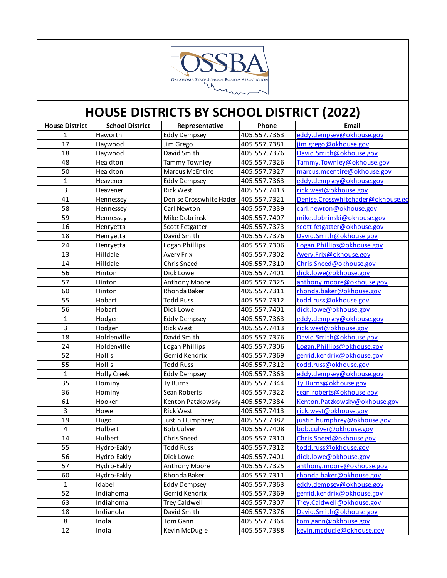

| <b>House District</b>   | <b>School District</b> | Representative          | Phone        | Email                             |
|-------------------------|------------------------|-------------------------|--------------|-----------------------------------|
| 1                       | Haworth                | <b>Eddy Dempsey</b>     | 405.557.7363 | eddy.dempsey@okhouse.gov          |
| 17                      | Haywood                | Jim Grego               | 405.557.7381 | jim.grego@okhouse.gov             |
| 18                      | Haywood                | David Smith             | 405.557.7376 | David.Smith@okhouse.gov           |
| 48                      | Healdton               | Tammy Townley           | 405.557.7326 | Tammy.Townley@okhouse.gov         |
| 50                      | Healdton               | Marcus McEntire         | 405.557.7327 | marcus.mcentire@okhouse.gov       |
| $\mathbf{1}$            | Heavener               | <b>Eddy Dempsey</b>     | 405.557.7363 | eddy.dempsey@okhouse.gov          |
| 3                       | Heavener               | <b>Rick West</b>        | 405.557.7413 | rick.west@okhouse.gov             |
| 41                      | Hennessey              | Denise Crosswhite Hader | 405.557.7321 | Denise.Crosswhitehader@okhouse.go |
| 58                      | Hennessey              | Carl Newton             | 405.557.7339 | carl.newton@okhouse.gov           |
| 59                      | Hennessey              | Mike Dobrinski          | 405.557.7407 | mike.dobrinski@okhouse.gov        |
| 16                      | Henryetta              | Scott Fetgatter         | 405.557.7373 | scott.fetgatter@okhouse.gov       |
| 18                      | Henryetta              | David Smith             | 405.557.7376 | David.Smith@okhouse.gov           |
| 24                      | Henryetta              | Logan Phillips          | 405.557.7306 | Logan.Phillips@okhouse.gov        |
| 13                      | Hilldale               | Avery Frix              | 405.557.7302 | Avery.Frix@okhouse.gov            |
| 14                      | Hilldale               | <b>Chris Sneed</b>      | 405.557.7310 | Chris.Sneed@okhouse.gov           |
| 56                      | Hinton                 | Dick Lowe               | 405.557.7401 | dick.lowe@okhouse.gov             |
| 57                      | Hinton                 | Anthony Moore           | 405.557.7325 | anthony.moore@okhouse.gov         |
| 60                      | Hinton                 | Rhonda Baker            | 405.557.7311 | rhonda.baker@okhouse.gov          |
| 55                      | Hobart                 | <b>Todd Russ</b>        | 405.557.7312 | todd.russ@okhouse.gov             |
| 56                      | Hobart                 | Dick Lowe               | 405.557.7401 | dick.lowe@okhouse.gov             |
| $\mathbf{1}$            | Hodgen                 | <b>Eddy Dempsey</b>     | 405.557.7363 | eddy.dempsey@okhouse.gov          |
| $\overline{3}$          | Hodgen                 | <b>Rick West</b>        | 405.557.7413 | rick.west@okhouse.gov             |
| 18                      | Holdenville            | David Smith             | 405.557.7376 | David.Smith@okhouse.gov           |
| 24                      | Holdenville            | Logan Phillips          | 405.557.7306 | Logan.Phillips@okhouse.gov        |
| 52                      | Hollis                 | Gerrid Kendrix          | 405.557.7369 | gerrid.kendrix@okhouse.gov        |
| 55                      | Hollis                 | <b>Todd Russ</b>        | 405.557.7312 | todd.russ@okhouse.gov             |
| $\mathbf{1}$            | Holly Creek            | <b>Eddy Dempsey</b>     | 405.557.7363 | eddy.dempsey@okhouse.gov          |
| 35                      | Hominy                 | Ty Burns                | 405.557.7344 | Ty.Burns@okhouse.gov              |
| 36                      | Hominy                 | Sean Roberts            | 405.557.7322 | sean.roberts@okhouse.gov          |
| 61                      | Hooker                 | Kenton Patzkowsky       | 405.557.7384 | Kenton.Patzkowsky@okhouse.gov     |
| $\overline{3}$          | Howe                   | <b>Rick West</b>        | 405.557.7413 | rick.west@okhouse.gov             |
| 19                      | Hugo                   | Justin Humphrey         | 405.557.7382 | justin.humphrey@okhouse.gov       |
| $\overline{\mathbf{4}}$ | Hulbert                | <b>Bob Culver</b>       | 405.557.7408 | bob.culver@okhouse.gov            |
| 14                      | Hulbert                | Chris Sneed             | 405.557.7310 | Chris.Sneed@okhouse.gov           |
| 55                      | Hydro-Eakly            | <b>Todd Russ</b>        | 405.557.7312 | todd.russ@okhouse.gov             |
| 56                      | Hydro-Eakly            | Dick Lowe               | 405.557.7401 | dick.lowe@okhouse.gov             |
| 57                      | Hydro-Eakly            | Anthony Moore           | 405.557.7325 | anthony.moore@okhouse.gov         |
| 60                      | Hydro-Eakly            | Rhonda Baker            | 405.557.7311 | rhonda.baker@okhouse.gov          |
| $\mathbf 1$             | Idabel                 | <b>Eddy Dempsey</b>     | 405.557.7363 | eddy.dempsey@okhouse.gov          |
| 52                      | Indiahoma              | Gerrid Kendrix          | 405.557.7369 | gerrid.kendrix@okhouse.gov        |
| 63                      | Indiahoma              | <b>Trey Caldwell</b>    | 405.557.7307 | Trey.Caldwell@okhouse.gov         |
| 18                      | Indianola              | David Smith             | 405.557.7376 | David.Smith@okhouse.gov           |
| 8                       | Inola                  | Tom Gann                | 405.557.7364 | tom.gann@okhouse.gov              |
| 12                      | Inola                  | Kevin McDugle           | 405.557.7388 | kevin.mcdugle@okhouse.gov         |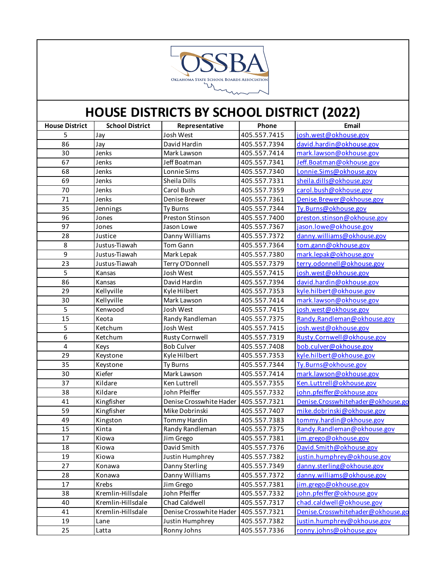

| <b>House District</b> | <b>School District</b> | Representative          | Phone        | Email                             |
|-----------------------|------------------------|-------------------------|--------------|-----------------------------------|
| 5                     | Jay                    | Josh West               | 405.557.7415 | josh.west@okhouse.gov             |
| 86                    | Jay                    | David Hardin            | 405.557.7394 | david.hardin@okhouse.gov          |
| 30                    | Jenks                  | Mark Lawson             | 405.557.7414 | mark.lawson@okhouse.gov           |
| 67                    | Jenks                  | Jeff Boatman            | 405.557.7341 | Jeff.Boatman@okhouse.gov          |
| 68                    | Jenks                  | Lonnie Sims             | 405.557.7340 | Lonnie.Sims@okhouse.gov           |
| 69                    | Jenks                  | Sheila Dills            | 405.557.7331 | sheila.dills@okhouse.gov          |
| 70                    | Jenks                  | Carol Bush              | 405.557.7359 | carol.bush@okhouse.gov            |
| 71                    | Jenks                  | Denise Brewer           | 405.557.7361 | Denise.Brewer@okhouse.gov         |
| 35                    | Jennings               | <b>Ty Burns</b>         | 405.557.7344 | Ty.Burns@okhouse.gov              |
| 96                    | Jones                  | Preston Stinson         | 405.557.7400 | preston.stinson@okhouse.gov       |
| 97                    | Jones                  | Jason Lowe              | 405.557.7367 | jason.lowe@okhouse.gov            |
| 28                    | Justice                | Danny Williams          | 405.557.7372 | danny.williams@okhouse.gov        |
| 8                     | Justus-Tiawah          | Tom Gann                | 405.557.7364 | tom.gann@okhouse.gov              |
| 9                     | Justus-Tiawah          | Mark Lepak              | 405.557.7380 | mark.lepak@okhouse.gov            |
| 23                    | Justus-Tiawah          | Terry O'Donnell         | 405.557.7379 | terry.odonnell@okhouse.gov        |
| 5                     | Kansas                 | Josh West               | 405.557.7415 | josh.west@okhouse.gov             |
| 86                    | Kansas                 | David Hardin            | 405.557.7394 | david.hardin@okhouse.gov          |
| 29                    | Kellyville             | Kyle Hilbert            | 405.557.7353 | kyle.hilbert@okhouse.gov          |
| 30                    | Kellyville             | Mark Lawson             | 405.557.7414 | mark.lawson@okhouse.gov           |
| 5                     | Kenwood                | Josh West               | 405.557.7415 | josh.west@okhouse.gov             |
| 15                    | Keota                  | Randy Randleman         | 405.557.7375 | Randy.Randleman@okhouse.gov       |
| 5                     | Ketchum                | Josh West               | 405.557.7415 | josh.west@okhouse.gov             |
| 6                     | Ketchum                | <b>Rusty Cornwell</b>   | 405.557.7319 | Rusty.Cornwell@okhouse.gov        |
| 4                     | Keys                   | <b>Bob Culver</b>       | 405.557.7408 | bob.culver@okhouse.gov            |
| 29                    | Keystone               | Kyle Hilbert            | 405.557.7353 | kyle.hilbert@okhouse.gov          |
| 35                    | Keystone               | <b>Ty Burns</b>         | 405.557.7344 | Ty.Burns@okhouse.gov              |
| 30                    | Kiefer                 | Mark Lawson             | 405.557.7414 | mark.lawson@okhouse.gov           |
| 37                    | Kildare                | Ken Luttrell            | 405.557.7355 | Ken.Luttrell@okhouse.gov          |
| 38                    | Kildare                | John Pfeiffer           | 405.557.7332 | john.pfeiffer@okhouse.gov         |
| 41                    | Kingfisher             | Denise Crosswhite Hader | 405.557.7321 | Denise.Crosswhitehader@okhouse.go |
| 59                    | Kingfisher             | Mike Dobrinski          | 405.557.7407 | mike.dobrinski@okhouse.gov        |
| 49                    | Kingston               | Tommy Hardin            | 405.557.7383 | tommy.hardin@okhouse.gov          |
| 15                    | Kinta                  | Randy Randleman         | 405.557.7375 | Randy.Randleman@okhouse.gov       |
| 17                    | Kiowa                  | Jim Grego               | 405.557.7381 | jim.grego@okhouse.gov             |
| 18                    | Kiowa                  | David Smith             | 405.557.7376 | David.Smith@okhouse.gov           |
| 19                    | Kiowa                  | Justin Humphrey         | 405.557.7382 | justin.humphrey@okhouse.gov       |
| 27                    | Konawa                 | Danny Sterling          | 405.557.7349 | danny.sterling@okhouse.gov        |
| 28                    | Konawa                 | Danny Williams          | 405.557.7372 | danny.williams@okhouse.gov        |
| 17                    | Krebs                  | Jim Grego               | 405.557.7381 | jim.grego@okhouse.gov             |
| 38                    | Kremlin-Hillsdale      | John Pfeiffer           | 405.557.7332 | john.pfeiffer@okhouse.gov         |
| 40                    | Kremlin-Hillsdale      | Chad Caldwell           | 405.557.7317 | chad.caldwell@okhouse.gov         |
| 41                    | Kremlin-Hillsdale      | Denise Crosswhite Hader | 405.557.7321 | Denise.Crosswhitehader@okhouse.go |
| 19                    | Lane                   | Justin Humphrey         | 405.557.7382 | justin.humphrey@okhouse.gov       |
| 25                    | Latta                  | Ronny Johns             | 405.557.7336 | ronny.johns@okhouse.gov           |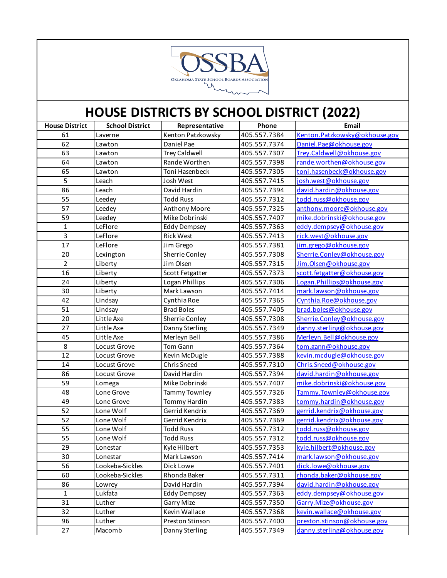

| <b>House District</b> | <b>School District</b> | Representative       | Phone        | Email                         |
|-----------------------|------------------------|----------------------|--------------|-------------------------------|
| 61                    | Laverne                | Kenton Patzkowsky    | 405.557.7384 | Kenton.Patzkowsky@okhouse.gov |
| 62                    | Lawton                 | Daniel Pae           | 405.557.7374 | Daniel.Pae@okhouse.gov        |
| 63                    | Lawton                 | <b>Trey Caldwell</b> | 405.557.7307 | Trey.Caldwell@okhouse.gov     |
| 64                    | Lawton                 | Rande Worthen        | 405.557.7398 | rande.worthen@okhouse.gov     |
| 65                    | Lawton                 | Toni Hasenbeck       | 405.557.7305 | toni.hasenbeck@okhouse.gov    |
| 5                     | Leach                  | Josh West            | 405.557.7415 | josh.west@okhouse.gov         |
| 86                    | Leach                  | David Hardin         | 405.557.7394 | david.hardin@okhouse.gov      |
| 55                    | Leedey                 | <b>Todd Russ</b>     | 405.557.7312 | todd.russ@okhouse.gov         |
| 57                    | Leedey                 | <b>Anthony Moore</b> | 405.557.7325 | anthony.moore@okhouse.gov     |
| 59                    | Leedey                 | Mike Dobrinski       | 405.557.7407 | mike.dobrinski@okhouse.gov    |
| $\mathbf{1}$          | LeFlore                | <b>Eddy Dempsey</b>  | 405.557.7363 | eddy.dempsey@okhouse.gov      |
| $\overline{3}$        | LeFlore                | <b>Rick West</b>     | 405.557.7413 | rick.west@okhouse.gov         |
| 17                    | LeFlore                | Jim Grego            | 405.557.7381 | jim.grego@okhouse.gov         |
| 20                    | Lexington              | Sherrie Conley       | 405.557.7308 | Sherrie.Conley@okhouse.gov    |
| $\overline{2}$        | Liberty                | Jim Olsen            | 405.557.7315 | Jim.Olsen@okhouse.gov         |
| 16                    | Liberty                | Scott Fetgatter      | 405.557.7373 | scott.fetgatter@okhouse.gov   |
| 24                    | Liberty                | Logan Phillips       | 405.557.7306 | Logan.Phillips@okhouse.gov    |
| 30                    | Liberty                | Mark Lawson          | 405.557.7414 | mark.lawson@okhouse.gov       |
| 42                    | Lindsay                | Cynthia Roe          | 405.557.7365 | Cynthia.Roe@okhouse.gov       |
| 51                    | Lindsay                | <b>Brad Boles</b>    | 405.557.7405 | brad.boles@okhouse.gov        |
| 20                    | Little Axe             | Sherrie Conley       | 405.557.7308 | Sherrie.Conley@okhouse.gov    |
| 27                    | Little Axe             | Danny Sterling       | 405.557.7349 | danny.sterling@okhouse.gov    |
| 45                    | Little Axe             | Merleyn Bell         | 405.557.7386 | Merleyn.Bell@okhouse.gov      |
| 8                     | Locust Grove           | Tom Gann             | 405.557.7364 | tom.gann@okhouse.gov          |
| 12                    | Locust Grove           | Kevin McDugle        | 405.557.7388 | kevin.mcdugle@okhouse.gov     |
| 14                    | Locust Grove           | Chris Sneed          | 405.557.7310 | Chris.Sneed@okhouse.gov       |
| 86                    | Locust Grove           | David Hardin         | 405.557.7394 | david.hardin@okhouse.gov      |
| 59                    | Lomega                 | Mike Dobrinski       | 405.557.7407 | mike.dobrinski@okhouse.gov    |
| 48                    | Lone Grove             | Tammy Townley        | 405.557.7326 | Tammy.Townley@okhouse.gov     |
| 49                    | Lone Grove             | Tommy Hardin         | 405.557.7383 | tommy.hardin@okhouse.gov      |
| 52                    | Lone Wolf              | Gerrid Kendrix       | 405.557.7369 | gerrid.kendrix@okhouse.gov    |
| 52                    | Lone Wolf              | Gerrid Kendrix       | 405.557.7369 | gerrid.kendrix@okhouse.gov    |
| 55                    | Lone Wolf              | <b>Todd Russ</b>     | 405.557.7312 | todd.russ@okhouse.gov         |
| $\overline{55}$       | Lone Wolf              | <b>Todd Russ</b>     | 405.557.7312 | todd.russ@okhouse.gov         |
| 29                    | Lonestar               | Kyle Hilbert         | 405.557.7353 | kyle.hilbert@okhouse.gov      |
| 30                    | Lonestar               | Mark Lawson          | 405.557.7414 | mark.lawson@okhouse.gov       |
| 56                    | Lookeba-Sickles        | Dick Lowe            | 405.557.7401 | dick.lowe@okhouse.gov         |
| 60                    | Lookeba-Sickles        | Rhonda Baker         | 405.557.7311 | rhonda.baker@okhouse.gov      |
| 86                    | Lowrey                 | David Hardin         | 405.557.7394 | david.hardin@okhouse.gov      |
| $\mathbf{1}$          | Lukfata                | <b>Eddy Dempsey</b>  | 405.557.7363 | eddy.dempsey@okhouse.gov      |
| 31                    | Luther                 | Garry Mize           | 405.557.7350 | Garry.Mize@okhouse.gov        |
| 32                    | Luther                 | Kevin Wallace        | 405.557.7368 | kevin.wallace@okhouse.gov     |
| 96                    | Luther                 | Preston Stinson      | 405.557.7400 | preston.stinson@okhouse.gov   |
| 27                    | Macomb                 | Danny Sterling       | 405.557.7349 | danny.sterling@okhouse.gov    |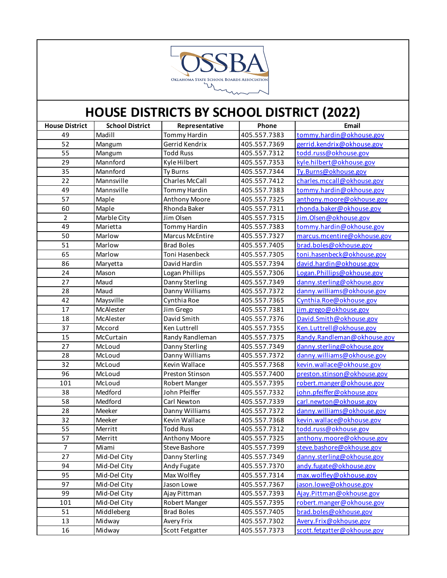

| <b>House District</b> | <b>School District</b> | Representative        | Phone        | Email                       |
|-----------------------|------------------------|-----------------------|--------------|-----------------------------|
| 49                    | Madill                 | Tommy Hardin          | 405.557.7383 | tommy.hardin@okhouse.gov    |
| 52                    | Mangum                 | Gerrid Kendrix        | 405.557.7369 | gerrid.kendrix@okhouse.gov  |
| 55                    | Mangum                 | <b>Todd Russ</b>      | 405.557.7312 | todd.russ@okhouse.gov       |
| 29                    | Mannford               | Kyle Hilbert          | 405.557.7353 | kyle.hilbert@okhouse.gov    |
| 35                    | Mannford               | Ty Burns              | 405.557.7344 | Ty.Burns@okhouse.gov        |
| 22                    | Mannsville             | <b>Charles McCall</b> | 405.557.7412 | charles.mccall@okhouse.gov  |
| 49                    | Mannsville             | Tommy Hardin          | 405.557.7383 | tommy.hardin@okhouse.gov    |
| 57                    | Maple                  | Anthony Moore         | 405.557.7325 | anthony.moore@okhouse.gov   |
| 60                    | Maple                  | Rhonda Baker          | 405.557.7311 | rhonda.baker@okhouse.gov    |
| $\overline{2}$        | Marble City            | Jim Olsen             | 405.557.7315 | Jim.Olsen@okhouse.gov       |
| 49                    | Marietta               | Tommy Hardin          | 405.557.7383 | tommy.hardin@okhouse.gov    |
| 50                    | Marlow                 | Marcus McEntire       | 405.557.7327 | marcus.mcentire@okhouse.gov |
| 51                    | Marlow                 | <b>Brad Boles</b>     | 405.557.7405 | brad.boles@okhouse.gov      |
| 65                    | Marlow                 | Toni Hasenbeck        | 405.557.7305 | toni.hasenbeck@okhouse.gov  |
| 86                    | Maryetta               | David Hardin          | 405.557.7394 | david.hardin@okhouse.gov    |
| 24                    | Mason                  | Logan Phillips        | 405.557.7306 | Logan.Phillips@okhouse.gov  |
| 27                    | Maud                   | Danny Sterling        | 405.557.7349 | danny.sterling@okhouse.gov  |
| 28                    | Maud                   | Danny Williams        | 405.557.7372 | danny.williams@okhouse.gov  |
| 42                    | Maysville              | Cynthia Roe           | 405.557.7365 | Cynthia.Roe@okhouse.gov     |
| 17                    | McAlester              | Jim Grego             | 405.557.7381 | jim.grego@okhouse.gov       |
| 18                    | McAlester              | David Smith           | 405.557.7376 | David.Smith@okhouse.gov     |
| 37                    | Mccord                 | Ken Luttrell          | 405.557.7355 | Ken.Luttrell@okhouse.gov    |
| 15                    | McCurtain              | Randy Randleman       | 405.557.7375 | Randy.Randleman@okhouse.gov |
| 27                    | McLoud                 | Danny Sterling        | 405.557.7349 | danny.sterling@okhouse.gov  |
| 28                    | McLoud                 | Danny Williams        | 405.557.7372 | danny.williams@okhouse.gov  |
| 32                    | McLoud                 | Kevin Wallace         | 405.557.7368 | kevin.wallace@okhouse.gov   |
| 96                    | McLoud                 | Preston Stinson       | 405.557.7400 | preston.stinson@okhouse.gov |
| 101                   | McLoud                 | Robert Manger         | 405.557.7395 | robert.manger@okhouse.gov   |
| 38                    | Medford                | John Pfeiffer         | 405.557.7332 | john.pfeiffer@okhouse.gov   |
| 58                    | Medford                | Carl Newton           | 405.557.7339 | carl.newton@okhouse.gov     |
| 28                    | Meeker                 | Danny Williams        | 405.557.7372 | danny.williams@okhouse.gov  |
| 32                    | Meeker                 | Kevin Wallace         | 405.557.7368 | kevin.wallace@okhouse.gov   |
| 55                    | Merritt                | <b>Todd Russ</b>      | 405.557.7312 | todd.russ@okhouse.gov       |
| 57                    | Merritt                | Anthony Moore         | 405.557.7325 | anthony.moore@okhouse.gov   |
| $\overline{7}$        | Miami                  | Steve Bashore         | 405.557.7399 | steve.bashore@okhouse.gov   |
| 27                    | Mid-Del City           | Danny Sterling        | 405.557.7349 | danny.sterling@okhouse.gov  |
| 94                    | Mid-Del City           | Andy Fugate           | 405.557.7370 | andy.fugate@okhouse.gov     |
| 95                    | Mid-Del City           | Max Wolfley           | 405.557.7314 | max.wolfley@okhouse.gov     |
| 97                    | Mid-Del City           | Jason Lowe            | 405.557.7367 | jason.lowe@okhouse.gov      |
| 99                    | Mid-Del City           | Ajay Pittman          | 405.557.7393 | Ajay.Pittman@okhouse.gov    |
| 101                   | Mid-Del City           | Robert Manger         | 405.557.7395 | robert.manger@okhouse.gov   |
| 51                    | Middleberg             | <b>Brad Boles</b>     | 405.557.7405 | brad.boles@okhouse.gov      |
| 13                    | Midway                 | Avery Frix            | 405.557.7302 | Avery.Frix@okhouse.gov      |
| 16                    | Midway                 | Scott Fetgatter       | 405.557.7373 | scott.fetgatter@okhouse.gov |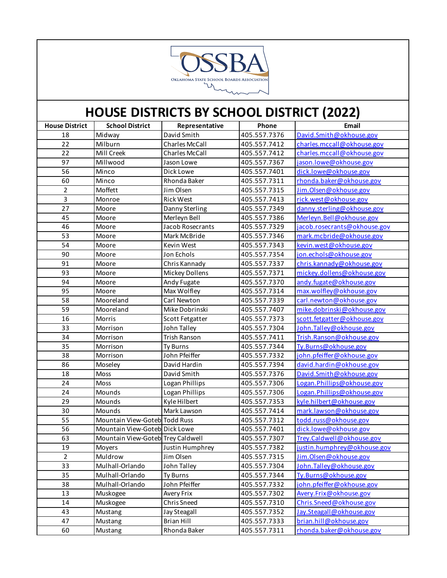

| <b>House District</b>   | <b>School District</b>            | Representative        | Phone        | Email                        |
|-------------------------|-----------------------------------|-----------------------|--------------|------------------------------|
| 18                      | Midway                            | David Smith           | 405.557.7376 | David.Smith@okhouse.gov      |
| 22                      | Milburn                           | <b>Charles McCall</b> | 405.557.7412 | charles.mccall@okhouse.gov   |
| 22                      | Mill Creek                        | <b>Charles McCall</b> | 405.557.7412 | charles.mccall@okhouse.gov   |
| 97                      | Millwood                          | Jason Lowe            | 405.557.7367 | jason.lowe@okhouse.gov       |
| 56                      | Minco                             | Dick Lowe             | 405.557.7401 | dick.lowe@okhouse.gov        |
| 60                      | Minco                             | Rhonda Baker          | 405.557.7311 | rhonda.baker@okhouse.gov     |
| $\overline{2}$          | Moffett                           | Jim Olsen             | 405.557.7315 | Jim.Olsen@okhouse.gov        |
| $\overline{\mathbf{3}}$ | Monroe                            | <b>Rick West</b>      | 405.557.7413 | rick.west@okhouse.gov        |
| 27                      | Moore                             | Danny Sterling        | 405.557.7349 | danny.sterling@okhouse.gov   |
| 45                      | Moore                             | Merleyn Bell          | 405.557.7386 | Merleyn.Bell@okhouse.gov     |
| 46                      | Moore                             | Jacob Rosecrants      | 405.557.7329 | jacob.rosecrants@okhouse.gov |
| 53                      | Moore                             | Mark McBride          | 405.557.7346 | mark.mcbride@okhouse.gov     |
| 54                      | Moore                             | Kevin West            | 405.557.7343 | kevin.west@okhouse.gov       |
| 90                      | Moore                             | Jon Echols            | 405.557.7354 | jon.echols@okhouse.gov       |
| 91                      | Moore                             | Chris Kannady         | 405.557.7337 | chris.kannady@okhouse.gov    |
| 93                      | Moore                             | Mickey Dollens        | 405.557.7371 | mickey.dollens@okhouse.gov   |
| 94                      | Moore                             | Andy Fugate           | 405.557.7370 | andy.fugate@okhouse.gov      |
| 95                      | Moore                             | Max Wolfley           | 405.557.7314 | max.wolfley@okhouse.gov      |
| 58                      | Mooreland                         | Carl Newton           | 405.557.7339 | carl.newton@okhouse.gov      |
| 59                      | Mooreland                         | Mike Dobrinski        | 405.557.7407 | mike.dobrinski@okhouse.gov   |
| 16                      | Morris                            | Scott Fetgatter       | 405.557.7373 | scott_fetgatter@okhouse.gov  |
| 33                      | Morrison                          | John Talley           | 405.557.7304 | John. Talley@okhouse.gov     |
| 34                      | Morrison                          | Trish Ranson          | 405.557.7411 | Trish.Ranson@okhouse.gov     |
| 35                      | Morrison                          | Ty Burns              | 405.557.7344 | Ty.Burns@okhouse.gov         |
| 38                      | Morrison                          | John Pfeiffer         | 405.557.7332 | john.pfeiffer@okhouse.gov    |
| 86                      | Moseley                           | David Hardin          | 405.557.7394 | david.hardin@okhouse.gov     |
| 18                      | Moss                              | David Smith           | 405.557.7376 | David.Smith@okhouse.gov      |
| 24                      | Moss                              | Logan Phillips        | 405.557.7306 | Logan.Phillips@okhouse.gov   |
| 24                      | Mounds                            | Logan Phillips        | 405.557.7306 | Logan. Phillips@okhouse.gov  |
| 29                      | Mounds                            | Kyle Hilbert          | 405.557.7353 | kyle.hilbert@okhouse.gov     |
| 30                      | Mounds                            | Mark Lawson           | 405.557.7414 | mark.lawson@okhouse.gov      |
| 55                      | Mountain View-Goteb Todd Russ     |                       | 405.557.7312 | todd.russ@okhouse.gov        |
| 56                      | Mountain View-Goteb Dick Lowe     |                       | 405.557.7401 | dick.lowe@okhouse.gov        |
| 63                      | Mountain View-Goteb Trey Caldwell |                       | 405.557.7307 | Trey.Caldwell@okhouse.gov    |
| 19                      |                                   | Justin Humphrey       | 405.557.7382 | justin.humphrey@okhouse.gov  |
| $\overline{2}$          | Muldrow                           | Jim Olsen             | 405.557.7315 | Jim.Olsen@okhouse.gov        |
| 33                      | Mulhall-Orlando                   | John Talley           | 405.557.7304 | John.Talley@okhouse.gov      |
| 35                      | Mulhall-Orlando                   | <b>Ty Burns</b>       | 405.557.7344 | Ty.Burns@okhouse.gov         |
| 38                      | Mulhall-Orlando                   | John Pfeiffer         | 405.557.7332 | john.pfeiffer@okhouse.gov    |
| 13                      | Muskogee                          | Avery Frix            | 405.557.7302 | Avery.Frix@okhouse.gov       |
| 14                      | Muskogee                          | Chris Sneed           | 405.557.7310 | Chris.Sneed@okhouse.gov      |
| 43                      | Mustang                           | <b>Jay Steagall</b>   | 405.557.7352 | Jay.Steagall@okhouse.gov     |
| 47                      | Mustang                           | <b>Brian Hill</b>     | 405.557.7333 | brian.hill@okhouse.gov       |
| 60                      | Mustang                           | Rhonda Baker          | 405.557.7311 | rhonda.baker@okhouse.gov     |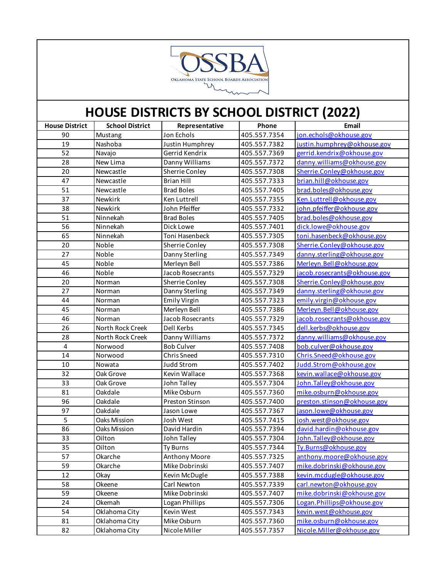

| <b>House District</b>   | <b>School District</b> | Representative    | Phone        | Email                        |
|-------------------------|------------------------|-------------------|--------------|------------------------------|
| 90                      | Mustang                | Jon Echols        | 405.557.7354 | jon.echols@okhouse.gov       |
| 19                      | Nashoba                | Justin Humphrey   | 405.557.7382 | justin.humphrey@okhouse.gov  |
| 52                      | Navajo                 | Gerrid Kendrix    | 405.557.7369 | gerrid.kendrix@okhouse.gov   |
| 28                      | New Lima               | Danny Williams    | 405.557.7372 | danny.williams@okhouse.gov   |
| 20                      | Newcastle              | Sherrie Conley    | 405.557.7308 | Sherrie.Conley@okhouse.gov   |
| 47                      | Newcastle              | <b>Brian Hill</b> | 405.557.7333 | brian.hill@okhouse.gov       |
| 51                      | Newcastle              | <b>Brad Boles</b> | 405.557.7405 | brad.boles@okhouse.gov       |
| 37                      | Newkirk                | Ken Luttrell      | 405.557.7355 | Ken.Luttrell@okhouse.gov     |
| 38                      | Newkirk                | John Pfeiffer     | 405.557.7332 | john.pfeiffer@okhouse.gov    |
| 51                      | Ninnekah               | <b>Brad Boles</b> | 405.557.7405 | brad.boles@okhouse.gov       |
| 56                      | Ninnekah               | Dick Lowe         | 405.557.7401 | dick.lowe@okhouse.gov        |
| 65                      | Ninnekah               | Toni Hasenbeck    | 405.557.7305 | toni.hasenbeck@okhouse.gov   |
| 20                      | Noble                  | Sherrie Conley    | 405.557.7308 | Sherrie.Conley@okhouse.gov   |
| 27                      | Noble                  | Danny Sterling    | 405.557.7349 | danny.sterling@okhouse.gov   |
| 45                      | Noble                  | Merleyn Bell      | 405.557.7386 | Merleyn. Bell@okhouse.gov    |
| 46                      | Noble                  | Jacob Rosecrants  | 405.557.7329 | jacob.rosecrants@okhouse.gov |
| 20                      | Norman                 | Sherrie Conley    | 405.557.7308 | Sherrie.Conley@okhouse.gov   |
| 27                      | Norman                 | Danny Sterling    | 405.557.7349 | danny.sterling@okhouse.gov   |
| 44                      | Norman                 | Emily Virgin      | 405.557.7323 | emily.virgin@okhouse.gov     |
| 45                      | Norman                 | Merleyn Bell      | 405.557.7386 | Merleyn. Bell@okhouse.gov    |
| 46                      | Norman                 | Jacob Rosecrants  | 405.557.7329 | jacob.rosecrants@okhouse.gov |
| 26                      | North Rock Creek       | Dell Kerbs        | 405.557.7345 | dell.kerbs@okhouse.gov       |
| 28                      | North Rock Creek       | Danny Williams    | 405.557.7372 | danny.williams@okhouse.gov   |
| $\overline{\mathbf{4}}$ | Norwood                | <b>Bob Culver</b> | 405.557.7408 | bob.culver@okhouse.gov       |
| 14                      | Norwood                | Chris Sneed       | 405.557.7310 | Chris.Sneed@okhouse.gov      |
| 10                      | Nowata                 | <b>Judd Strom</b> | 405.557.7402 | Judd.Strom@okhouse.gov       |
| 32                      | Oak Grove              | Kevin Wallace     | 405.557.7368 | kevin.wallace@okhouse.gov    |
| 33                      | Oak Grove              | John Talley       | 405.557.7304 | John. Talley@okhouse.gov     |
| 81                      | Oakdale                | Mike Osburn       | 405.557.7360 | mike.osburn@okhouse.gov      |
| 96                      | Oakdale                | Preston Stinson   | 405.557.7400 | preston.stinson@okhouse.gov  |
| 97                      | Oakdale                | Jason Lowe        | 405.557.7367 | jason.lowe@okhouse.gov       |
| 5                       | Oaks Mission           | Josh West         | 405.557.7415 | josh.west@okhouse.gov        |
| 86                      | Oaks Mission           | David Hardin      | 405.557.7394 | david.hardin@okhouse.gov     |
| 33                      | Oilton                 | John Talley       | 405.557.7304 | John. Talley@okhouse.gov     |
| 35                      | Oilton                 | Ty Burns          | 405.557.7344 | Ty.Burns@okhouse.gov         |
| 57                      | Okarche                | Anthony Moore     | 405.557.7325 | anthony.moore@okhouse.gov    |
| 59                      | Okarche                | Mike Dobrinski    | 405.557.7407 | mike.dobrinski@okhouse.gov   |
| 12                      | Okay                   | Kevin McDugle     | 405.557.7388 | kevin.mcdugle@okhouse.gov    |
| 58                      | Okeene                 | Carl Newton       | 405.557.7339 | carl.newton@okhouse.gov      |
| 59                      | Okeene                 | Mike Dobrinski    | 405.557.7407 | mike.dobrinski@okhouse.gov   |
| 24                      | Okemah                 | Logan Phillips    | 405.557.7306 | Logan.Phillips@okhouse.gov   |
| 54                      | Oklahoma City          | Kevin West        | 405.557.7343 | kevin.west@okhouse.gov       |
| 81                      | Oklahoma City          | Mike Osburn       | 405.557.7360 | mike.osburn@okhouse.gov      |
| 82                      | Oklahoma City          | Nicole Miller     | 405.557.7357 | Nicole.Miller@okhouse.gov    |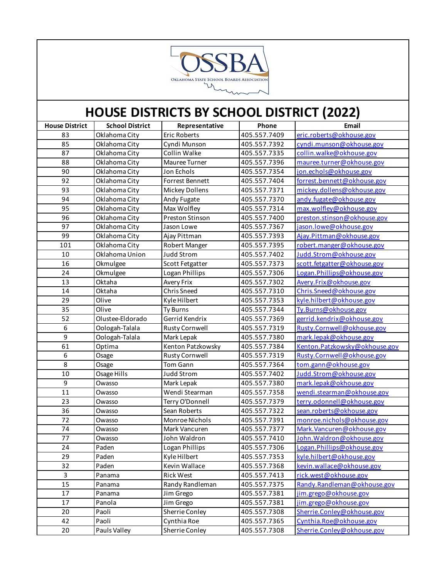

| <b>House District</b> | <b>School District</b> | Representative        | Phone        | Email                         |
|-----------------------|------------------------|-----------------------|--------------|-------------------------------|
| 83                    | Oklahoma City          | <b>Eric Roberts</b>   | 405.557.7409 | eric.roberts@okhouse.gov      |
| 85                    | Oklahoma City          | Cyndi Munson          | 405.557.7392 | cyndi.munson@okhouse.gov      |
| 87                    | Oklahoma City          | Collin Walke          | 405.557.7335 | collin.walke@okhouse.gov      |
| 88                    | Oklahoma City          | Mauree Turner         | 405.557.7396 | mauree.turner@okhouse.gov     |
| 90                    | Oklahoma City          | Jon Echols            | 405.557.7354 | jon.echols@okhouse.gov        |
| 92                    | Oklahoma City          | Forrest Bennett       | 405.557.7404 | forrest.bennett@okhouse.gov   |
| 93                    | Oklahoma City          | Mickey Dollens        | 405.557.7371 | mickey.dollens@okhouse.gov    |
| 94                    | Oklahoma City          | Andy Fugate           | 405.557.7370 | andy.fugate@okhouse.gov       |
| 95                    | Oklahoma City          | Max Wolfley           | 405.557.7314 | max.wolfley@okhouse.gov       |
| 96                    | Oklahoma City          | Preston Stinson       | 405.557.7400 | preston.stinson@okhouse.gov   |
| 97                    | Oklahoma City          | Jason Lowe            | 405.557.7367 | jason.lowe@okhouse.gov        |
| 99                    | Oklahoma City          | Ajay Pittman          | 405.557.7393 | Ajay.Pittman@okhouse.gov      |
| 101                   | Oklahoma City          | Robert Manger         | 405.557.7395 | robert.manger@okhouse.gov     |
| 10                    | Oklahoma Union         | Judd Strom            | 405.557.7402 | Judd.Strom@okhouse.gov        |
| 16                    | Okmulgee               | Scott Fetgatter       | 405.557.7373 | scott.fetgatter@okhouse.gov   |
| 24                    | Okmulgee               | Logan Phillips        | 405.557.7306 | Logan.Phillips@okhouse.gov    |
| 13                    | Oktaha                 | Avery Frix            | 405.557.7302 | Avery.Frix@okhouse.gov        |
| 14                    | Oktaha                 | <b>Chris Sneed</b>    | 405.557.7310 | Chris.Sneed@okhouse.gov       |
| 29                    | Olive                  | Kyle Hilbert          | 405.557.7353 | kyle.hilbert@okhouse.gov      |
| 35                    | Olive                  | <b>Ty Burns</b>       | 405.557.7344 | Ty.Burns@okhouse.gov          |
| 52                    | Olustee-Eldorado       | Gerrid Kendrix        | 405.557.7369 | gerrid.kendrix@okhouse.gov    |
| 6                     | Oologah-Talala         | <b>Rusty Cornwell</b> | 405.557.7319 | Rusty.Cornwell@okhouse.gov    |
| 9                     | Oologah-Talala         | Mark Lepak            | 405.557.7380 | mark.lepak@okhouse.gov        |
| 61                    | Optima                 | Kenton Patzkowsky     | 405.557.7384 | Kenton.Patzkowsky@okhouse.gov |
| 6                     | Osage                  | <b>Rusty Cornwell</b> | 405.557.7319 | Rusty.Cornwell@okhouse.gov    |
| 8                     | Osage                  | Tom Gann              | 405.557.7364 | tom.gann@okhouse.gov          |
| 10                    | Osage Hills            | <b>Judd Strom</b>     | 405.557.7402 | Judd.Strom@okhouse.gov        |
| $\boldsymbol{9}$      | Owasso                 | Mark Lepak            | 405.557.7380 | mark.lepak@okhouse.gov        |
| 11                    | Owasso                 | Wendi Stearman        | 405.557.7358 | wendi.stearman@okhouse.gov    |
| 23                    | Owasso                 | Terry O'Donnell       | 405.557.7379 | terry.odonnell@okhouse.gov    |
| 36                    | Owasso                 | Sean Roberts          | 405.557.7322 | sean.roberts@okhouse.gov      |
| 72                    | Owasso                 | Monroe Nichols        | 405.557.7391 | monroe.nichols@okhouse.gov    |
| 74                    | Owasso                 | Mark Vancuren         | 405.557.7377 | Mark. Vancuren@okhouse.gov    |
| 77                    | Owasso                 | John Waldron          | 405.557.7410 | John. Waldron@okhouse.gov     |
| 24                    | Paden                  | Logan Phillips        | 405.557.7306 | Logan.Phillips@okhouse.gov    |
| 29                    | Paden                  | Kyle Hilbert          | 405.557.7353 | kyle.hilbert@okhouse.gov      |
| 32                    | Paden                  | Kevin Wallace         | 405.557.7368 | kevin.wallace@okhouse.gov     |
| 3                     | Panama                 | <b>Rick West</b>      | 405.557.7413 | rick.west@okhouse.gov         |
| 15                    | Panama                 | Randy Randleman       | 405.557.7375 | Randy.Randleman@okhouse.gov   |
| 17                    | Panama                 | Jim Grego             | 405.557.7381 | jim.grego@okhouse.gov         |
| 17                    | Panola                 | Jim Grego             | 405.557.7381 | jim.grego@okhouse.gov         |
| 20                    | Paoli                  | Sherrie Conley        | 405.557.7308 | Sherrie.Conley@okhouse.gov    |
| 42                    | Paoli                  | Cynthia Roe           | 405.557.7365 | Cynthia.Roe@okhouse.gov       |
| 20                    | Pauls Valley           | Sherrie Conley        | 405.557.7308 | Sherrie.Conley@okhouse.gov    |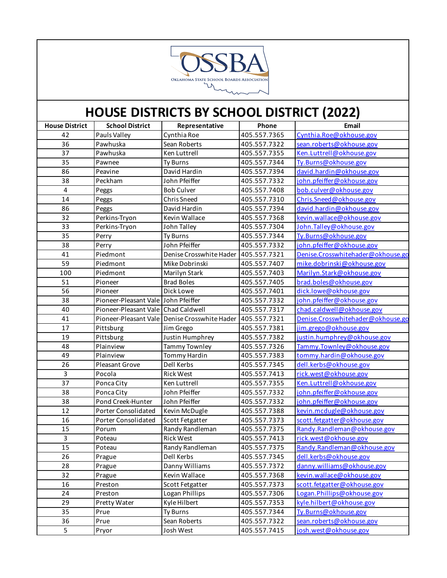

| <b>House District</b> | <b>School District</b>              | Representative                                  | Phone        | Email                             |
|-----------------------|-------------------------------------|-------------------------------------------------|--------------|-----------------------------------|
| 42                    | Pauls Valley                        | Cynthia Roe                                     | 405.557.7365 | Cynthia.Roe@okhouse.gov           |
| 36                    | Pawhuska                            | Sean Roberts                                    | 405.557.7322 | sean.roberts@okhouse.gov          |
| 37                    | Pawhuska                            | Ken Luttrell                                    | 405.557.7355 | Ken.Luttrell@okhouse.gov          |
| 35                    | Pawnee                              | <b>Ty Burns</b>                                 | 405.557.7344 | Ty.Burns@okhouse.gov              |
| 86                    | Peavine                             | David Hardin                                    | 405.557.7394 | david.hardin@okhouse.gov          |
| 38                    | Peckham                             | John Pfeiffer                                   | 405.557.7332 | john.pfeiffer@okhouse.gov         |
| 4                     | Peggs                               | <b>Bob Culver</b>                               | 405.557.7408 | bob.culver@okhouse.gov            |
| 14                    | Peggs                               | <b>Chris Sneed</b>                              | 405.557.7310 | Chris.Sneed@okhouse.gov           |
| 86                    | Peggs                               | David Hardin                                    | 405.557.7394 | david.hardin@okhouse.gov          |
| 32                    | Perkins-Tryon                       | Kevin Wallace                                   | 405.557.7368 | kevin.wallace@okhouse.gov         |
| 33                    | Perkins-Tryon                       | John Talley                                     | 405.557.7304 | John. Talley@okhouse.gov          |
| 35                    | Perry                               | <b>Ty Burns</b>                                 | 405.557.7344 | Ty.Burns@okhouse.gov              |
| 38                    | Perry                               | John Pfeiffer                                   | 405.557.7332 | john.pfeiffer@okhouse.gov         |
| 41                    | Piedmont                            | Denise Crosswhite Hader                         | 405.557.7321 | Denise.Crosswhitehader@okhouse.go |
| 59                    | Piedmont                            | Mike Dobrinski                                  | 405.557.7407 | mike.dobrinski@okhouse.gov        |
| 100                   | Piedmont                            | Marilyn Stark                                   | 405.557.7403 | Marilyn.Stark@okhouse.gov         |
| 51                    | Pioneer                             | <b>Brad Boles</b>                               | 405.557.7405 | brad.boles@okhouse.gov            |
| 56                    | Pioneer                             | Dick Lowe                                       | 405.557.7401 | dick.lowe@okhouse.gov             |
| 38                    | Pioneer-Pleasant Vale John Pfeiffer |                                                 | 405.557.7332 | john.pfeiffer@okhouse.gov         |
| 40                    | Pioneer-Pleasant Vale Chad Caldwell |                                                 | 405.557.7317 | chad.caldwell@okhouse.gov         |
| 41                    |                                     | Pioneer-Pleasant Vale   Denise Crosswhite Hader | 405.557.7321 | Denise.Crosswhitehader@okhouse.go |
| 17                    | Pittsburg                           | Jim Grego                                       | 405.557.7381 | jim.grego@okhouse.gov             |
| 19                    | Pittsburg                           | Justin Humphrey                                 | 405.557.7382 | justin.humphrey@okhouse.gov       |
| 48                    | Plainview                           | <b>Tammy Townley</b>                            | 405.557.7326 | Tammy.Townley@okhouse.gov         |
| 49                    | Plainview                           | <b>Tommy Hardin</b>                             | 405.557.7383 | tommy.hardin@okhouse.gov          |
| 26                    | Pleasant Grove                      | Dell Kerbs                                      | 405.557.7345 | dell.kerbs@okhouse.gov            |
| 3                     | Pocola                              | <b>Rick West</b>                                | 405.557.7413 | rick.west@okhouse.gov             |
| 37                    | Ponca City                          | Ken Luttrell                                    | 405.557.7355 | Ken.Luttrell@okhouse.gov          |
| 38                    | Ponca City                          | John Pfeiffer                                   | 405.557.7332 | john.pfeiffer@okhouse.gov         |
| 38                    | Pond Creek-Hunter                   | John Pfeiffer                                   | 405.557.7332 | john.pfeiffer@okhouse.gov         |
| 12                    | Porter Consolidated                 | Kevin McDugle                                   | 405.557.7388 | kevin.mcdugle@okhouse.gov         |
| 16                    | <b>Porter Consolidated</b>          | <b>Scott Fetgatter</b>                          | 405.557.7373 | scott.fetgatter@okhouse.gov       |
| 15                    | Porum                               | Randy Randleman                                 | 405.557.7375 | Randy.Randleman@okhouse.gov       |
| 3                     | Poteau                              | <b>Rick West</b>                                | 405.557.7413 | rick.west@okhouse.gov             |
| 15                    | Poteau                              | Randy Randleman                                 | 405.557.7375 | Randy.Randleman@okhouse.gov       |
| 26                    | Prague                              | Dell Kerbs                                      | 405.557.7345 | dell.kerbs@okhouse.gov            |
| 28                    | Prague                              | Danny Williams                                  | 405.557.7372 | danny.williams@okhouse.gov        |
| 32                    | Prague                              | Kevin Wallace                                   | 405.557.7368 | kevin.wallace@okhouse.gov         |
| 16                    | Preston                             | Scott Fetgatter                                 | 405.557.7373 | scott.fetgatter@okhouse.gov       |
| 24                    | Preston                             | Logan Phillips                                  | 405.557.7306 | Logan.Phillips@okhouse.gov        |
| 29                    | Pretty Water                        | Kyle Hilbert                                    | 405.557.7353 | kyle.hilbert@okhouse.gov          |
| 35                    | Prue                                | <b>Ty Burns</b>                                 | 405.557.7344 | Ty.Burns@okhouse.gov              |
| 36                    | Prue                                | Sean Roberts                                    | 405.557.7322 | sean.roberts@okhouse.gov          |
| 5                     | Pryor                               | Josh West                                       | 405.557.7415 | josh.west@okhouse.gov             |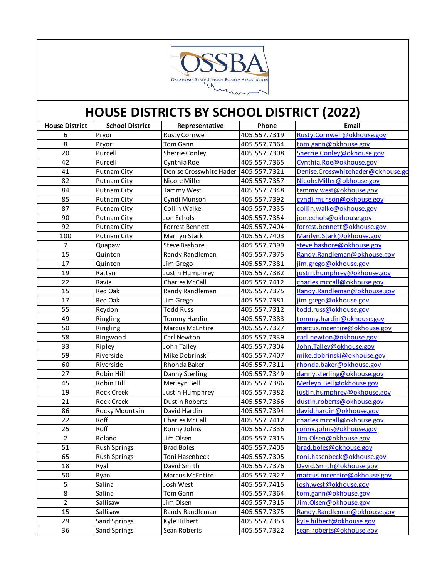

| <b>House District</b> | <b>School District</b> | Representative          | Phone        | Email                             |
|-----------------------|------------------------|-------------------------|--------------|-----------------------------------|
| 6                     | Pryor                  | Rusty Cornwell          | 405.557.7319 | Rusty.Cornwell@okhouse.gov        |
| 8                     | Pryor                  | Tom Gann                | 405.557.7364 | tom.gann@okhouse.gov              |
| 20                    | Purcell                | Sherrie Conley          | 405.557.7308 | Sherrie.Conley@okhouse.gov        |
| 42                    | Purcell                | Cynthia Roe             | 405.557.7365 | Cynthia.Roe@okhouse.gov           |
| 41                    | Putnam City            | Denise Crosswhite Hader | 405.557.7321 | Denise.Crosswhitehader@okhouse.go |
| 82                    | Putnam City            | Nicole Miller           | 405.557.7357 | Nicole.Miller@okhouse.gov         |
| 84                    | Putnam City            | Tammy West              | 405.557.7348 | tammy.west@okhouse.gov            |
| 85                    | Putnam City            | Cyndi Munson            | 405.557.7392 | cyndi.munson@okhouse.gov          |
| 87                    | <b>Putnam City</b>     | Collin Walke            | 405.557.7335 | collin.walke@okhouse.gov          |
| 90                    | <b>Putnam City</b>     | Jon Echols              | 405.557.7354 | jon.echols@okhouse.gov            |
| 92                    | <b>Putnam City</b>     | Forrest Bennett         | 405.557.7404 | forrest.bennett@okhouse.gov       |
| 100                   | Putnam City            | Marilyn Stark           | 405.557.7403 | Marilyn.Stark@okhouse.gov         |
| $\overline{7}$        | Quapaw                 | Steve Bashore           | 405.557.7399 | steve.bashore@okhouse.gov         |
| 15                    | Quinton                | Randy Randleman         | 405.557.7375 | Randy.Randleman@okhouse.gov       |
| 17                    | Quinton                | Jim Grego               | 405.557.7381 | jim.grego@okhouse.gov             |
| 19                    | Rattan                 | <b>Justin Humphrey</b>  | 405.557.7382 | justin.humphrey@okhouse.gov       |
| 22                    | Ravia                  | <b>Charles McCall</b>   | 405.557.7412 | charles.mccall@okhouse.gov        |
| 15                    | <b>Red Oak</b>         | Randy Randleman         | 405.557.7375 | Randy.Randleman@okhouse.gov       |
| 17                    | Red Oak                | Jim Grego               | 405.557.7381 | jim.grego@okhouse.gov             |
| 55                    | Reydon                 | <b>Todd Russ</b>        | 405.557.7312 | todd.russ@okhouse.gov             |
| 49                    | Ringling               | <b>Tommy Hardin</b>     | 405.557.7383 | tommy.hardin@okhouse.gov          |
| 50                    | Ringling               | <b>Marcus McEntire</b>  | 405.557.7327 | marcus.mcentire@okhouse.gov       |
| 58                    | Ringwood               | Carl Newton             | 405.557.7339 | carl.newton@okhouse.gov           |
| 33                    | Ripley                 | John Talley             | 405.557.7304 | John. Talley@okhouse.gov          |
| 59                    | Riverside              | Mike Dobrinski          | 405.557.7407 | mike.dobrinski@okhouse.gov        |
| 60                    | Riverside              | Rhonda Baker            | 405.557.7311 | rhonda.baker@okhouse.gov          |
| 27                    | Robin Hill             | Danny Sterling          | 405.557.7349 | danny.sterling@okhouse.gov        |
| 45                    | Robin Hill             | Merleyn Bell            | 405.557.7386 | Merleyn. Bell@okhouse.gov         |
| 19                    | <b>Rock Creek</b>      | Justin Humphrey         | 405.557.7382 | justin.humphrey@okhouse.gov       |
| 21                    | <b>Rock Creek</b>      | <b>Dustin Roberts</b>   | 405.557.7366 | dustin.roberts@okhouse.gov        |
| 86                    | Rocky Mountain         | David Hardin            | 405.557.7394 | david.hardin@okhouse.gov          |
| 22                    | Roff                   | <b>Charles McCall</b>   | 405.557.7412 | charles.mccall@okhouse.gov        |
| 25                    | Roff                   | Ronny Johns             | 405.557.7336 | ronny.johns@okhouse.gov           |
| $\overline{2}$        | Roland                 | Jim Olsen               | 405.557.7315 | Jim.Olsen@okhouse.gov             |
| 51                    | <b>Rush Springs</b>    | <b>Brad Boles</b>       | 405.557.7405 | brad.boles@okhouse.gov            |
| 65                    | <b>Rush Springs</b>    | Toni Hasenbeck          | 405.557.7305 | toni.hasenbeck@okhouse.gov        |
| 18                    | Ryal                   | David Smith             | 405.557.7376 | David.Smith@okhouse.gov           |
| 50                    | Ryan                   | Marcus McEntire         | 405.557.7327 | marcus.mcentire@okhouse.gov       |
| 5                     | Salina                 | Josh West               | 405.557.7415 | josh.west@okhouse.gov             |
| 8                     | Salina                 | Tom Gann                | 405.557.7364 | tom.gann@okhouse.gov              |
| $\overline{2}$        | Sallisaw               | Jim Olsen               | 405.557.7315 | Jim.Olsen@okhouse.gov             |
| 15                    | Sallisaw               | Randy Randleman         | 405.557.7375 | Randy.Randleman@okhouse.gov       |
| 29                    | Sand Springs           | Kyle Hilbert            | 405.557.7353 | kyle.hilbert@okhouse.gov          |
| 36                    | Sand Springs           | Sean Roberts            | 405.557.7322 | sean.roberts@okhouse.gov          |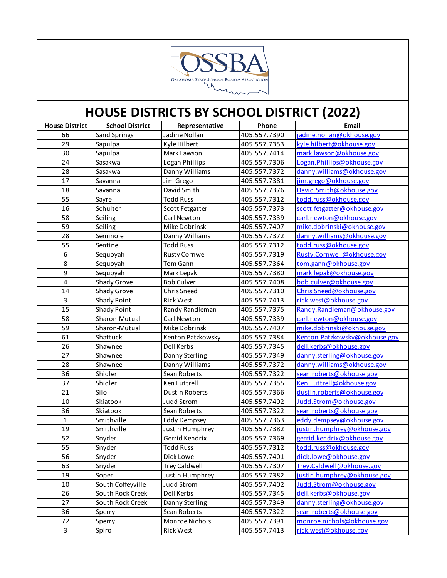

| 405.557.7390<br>66<br>Jadine Nollan<br>jadine.nollan@okhouse.gov<br>Sand Springs<br>29<br>405.557.7353<br>kyle.hilbert@okhouse.gov<br>Sapulpa<br>Kyle Hilbert<br>30<br>mark.lawson@okhouse.gov<br>Mark Lawson<br>405.557.7414<br>Sapulpa<br>24<br>Logan Phillips<br>405.557.7306<br>Logan.Phillips@okhouse.gov<br>Sasakwa<br>danny.williams@okhouse.gov<br>28<br>Danny Williams<br>405.557.7372<br>Sasakwa<br>17<br>Jim Grego<br>jim.grego@okhouse.gov<br>405.557.7381<br>Savanna<br>18<br>David Smith<br>David.Smith@okhouse.gov<br>405.557.7376<br>Savanna<br>55<br><b>Todd Russ</b><br>todd.russ@okhouse.gov<br>405.557.7312<br>Sayre<br>16<br>scott.fetgatter@okhouse.gov<br>Schulter<br>405.557.7373<br>Scott Fetgatter<br>58<br>Carl Newton<br>carl.newton@okhouse.gov<br>Seiling<br>405.557.7339<br>mike.dobrinski@okhouse.gov<br>59<br>Mike Dobrinski<br>405.557.7407<br>Seiling<br>28<br>405.557.7372<br>Seminole<br>Danny Williams<br>danny.williams@okhouse.gov<br>todd.russ@okhouse.gov<br>55<br>Sentinel<br><b>Todd Russ</b><br>405.557.7312<br>6<br>Rusty.Cornwell@okhouse.gov<br><b>Rusty Cornwell</b><br>405.557.7319<br>Sequoyah<br>8<br>Tom Gann<br>405.557.7364<br>tom.gann@okhouse.gov<br>Sequoyah<br>9<br>mark.lepak@okhouse.gov<br>Sequoyah<br>405.557.7380<br>Mark Lepak<br>$\overline{\mathbf{4}}$<br>bob.culver@okhouse.gov<br>Shady Grove<br><b>Bob Culver</b><br>405.557.7408<br>14<br>Shady Grove<br>Chris.Sneed@okhouse.gov<br>Chris Sneed<br>405.557.7310<br>3<br>rick.west@okhouse.gov<br>Shady Point<br><b>Rick West</b><br>405.557.7413<br>15<br>Shady Point<br>Randy.Randleman@okhouse.gov<br>Randy Randleman<br>405.557.7375<br>Sharon-Mutual<br>58<br>Carl Newton<br>405.557.7339<br>carl.newton@okhouse.gov<br>59<br>Mike Dobrinski<br>Sharon-Mutual<br>405.557.7407<br>mike.dobrinski@okhouse.gov<br>Kenton.Patzkowsky@okhouse.gov<br>61<br>Shattuck<br>Kenton Patzkowsky<br>405.557.7384<br>26<br>Dell Kerbs<br>dell.kerbs@okhouse.gov<br>405.557.7345<br>Shawnee<br>27<br>danny.sterling@okhouse.gov<br>405.557.7349<br>Danny Sterling<br>Shawnee<br>28<br>Danny Williams<br>danny.williams@okhouse.gov<br>Shawnee<br>405.557.7372<br>36<br>sean.roberts@okhouse.gov<br>Shidler<br>Sean Roberts<br>405.557.7322<br>37<br>Shidler<br>Ken.Luttrell@okhouse.gov<br>Ken Luttrell<br>405.557.7355<br>21<br>Silo<br>dustin.roberts@okhouse.gov<br><b>Dustin Roberts</b><br>405.557.7366<br>10<br>Skiatook<br>Judd.Strom@okhouse.gov<br><b>Judd Strom</b><br>405.557.7402<br>36<br>Skiatook<br>Sean Roberts<br>405.557.7322<br>sean.roberts@okhouse.gov<br>$\mathbf{1}$<br>Smithville<br>405.557.7363<br>eddy.dempsey@okhouse.gov<br><b>Eddy Dempsey</b><br>justin.humphrey@okhouse.gov<br>19<br>Smithville<br>Justin Humphrey<br>405.557.7382<br>52<br>Gerrid Kendrix<br>405.557.7369<br>gerrid.kendrix@okhouse.gov<br>Snyder<br>55<br>Snyder<br>todd.russ@okhouse.gov<br>405.557.7312<br><b>Todd Russ</b><br>56<br>Snyder<br>405.557.7401<br>dick.lowe@okhouse.gov<br>Dick Lowe<br>63<br>Snyder<br><b>Trey Caldwell</b><br>Trey.Caldwell@okhouse.gov<br>405.557.7307<br>19<br>Justin Humphrey<br>justin.humphrey@okhouse.gov<br>405.557.7382<br>Soper<br>South Coffeyville<br>10<br><b>Judd Strom</b><br>405.557.7402<br>Judd.Strom@okhouse.gov<br>Dell Kerbs<br>26<br>South Rock Creek<br>dell.kerbs@okhouse.gov<br>405.557.7345<br>danny.sterling@okhouse.gov<br>27<br>South Rock Creek<br>Danny Sterling<br>405.557.7349<br>36<br>Sean Roberts<br>405.557.7322<br>sean.roberts@okhouse.gov<br>Sperry<br>Monroe Nichols<br>monroe.nichols@okhouse.gov<br>72<br>405.557.7391<br>Sperry<br>$\mathbf{3}$<br>rick.west@okhouse.gov<br>Rick West<br>405.557.7413<br>Spiro | <b>House District</b> | <b>School District</b> | Representative | Phone | Email |
|-----------------------------------------------------------------------------------------------------------------------------------------------------------------------------------------------------------------------------------------------------------------------------------------------------------------------------------------------------------------------------------------------------------------------------------------------------------------------------------------------------------------------------------------------------------------------------------------------------------------------------------------------------------------------------------------------------------------------------------------------------------------------------------------------------------------------------------------------------------------------------------------------------------------------------------------------------------------------------------------------------------------------------------------------------------------------------------------------------------------------------------------------------------------------------------------------------------------------------------------------------------------------------------------------------------------------------------------------------------------------------------------------------------------------------------------------------------------------------------------------------------------------------------------------------------------------------------------------------------------------------------------------------------------------------------------------------------------------------------------------------------------------------------------------------------------------------------------------------------------------------------------------------------------------------------------------------------------------------------------------------------------------------------------------------------------------------------------------------------------------------------------------------------------------------------------------------------------------------------------------------------------------------------------------------------------------------------------------------------------------------------------------------------------------------------------------------------------------------------------------------------------------------------------------------------------------------------------------------------------------------------------------------------------------------------------------------------------------------------------------------------------------------------------------------------------------------------------------------------------------------------------------------------------------------------------------------------------------------------------------------------------------------------------------------------------------------------------------------------------------------------------------------------------------------------------------------------------------------------------------------------------------------------------------------------------------------------------------------------------------------------------------------------------------------------------------------------------------------------------------------------------------------------------------------------------------------------------------------------------------------------------------------------------------------------------------------------|-----------------------|------------------------|----------------|-------|-------|
|                                                                                                                                                                                                                                                                                                                                                                                                                                                                                                                                                                                                                                                                                                                                                                                                                                                                                                                                                                                                                                                                                                                                                                                                                                                                                                                                                                                                                                                                                                                                                                                                                                                                                                                                                                                                                                                                                                                                                                                                                                                                                                                                                                                                                                                                                                                                                                                                                                                                                                                                                                                                                                                                                                                                                                                                                                                                                                                                                                                                                                                                                                                                                                                                                                                                                                                                                                                                                                                                                                                                                                                                                                                                                                           |                       |                        |                |       |       |
|                                                                                                                                                                                                                                                                                                                                                                                                                                                                                                                                                                                                                                                                                                                                                                                                                                                                                                                                                                                                                                                                                                                                                                                                                                                                                                                                                                                                                                                                                                                                                                                                                                                                                                                                                                                                                                                                                                                                                                                                                                                                                                                                                                                                                                                                                                                                                                                                                                                                                                                                                                                                                                                                                                                                                                                                                                                                                                                                                                                                                                                                                                                                                                                                                                                                                                                                                                                                                                                                                                                                                                                                                                                                                                           |                       |                        |                |       |       |
|                                                                                                                                                                                                                                                                                                                                                                                                                                                                                                                                                                                                                                                                                                                                                                                                                                                                                                                                                                                                                                                                                                                                                                                                                                                                                                                                                                                                                                                                                                                                                                                                                                                                                                                                                                                                                                                                                                                                                                                                                                                                                                                                                                                                                                                                                                                                                                                                                                                                                                                                                                                                                                                                                                                                                                                                                                                                                                                                                                                                                                                                                                                                                                                                                                                                                                                                                                                                                                                                                                                                                                                                                                                                                                           |                       |                        |                |       |       |
|                                                                                                                                                                                                                                                                                                                                                                                                                                                                                                                                                                                                                                                                                                                                                                                                                                                                                                                                                                                                                                                                                                                                                                                                                                                                                                                                                                                                                                                                                                                                                                                                                                                                                                                                                                                                                                                                                                                                                                                                                                                                                                                                                                                                                                                                                                                                                                                                                                                                                                                                                                                                                                                                                                                                                                                                                                                                                                                                                                                                                                                                                                                                                                                                                                                                                                                                                                                                                                                                                                                                                                                                                                                                                                           |                       |                        |                |       |       |
|                                                                                                                                                                                                                                                                                                                                                                                                                                                                                                                                                                                                                                                                                                                                                                                                                                                                                                                                                                                                                                                                                                                                                                                                                                                                                                                                                                                                                                                                                                                                                                                                                                                                                                                                                                                                                                                                                                                                                                                                                                                                                                                                                                                                                                                                                                                                                                                                                                                                                                                                                                                                                                                                                                                                                                                                                                                                                                                                                                                                                                                                                                                                                                                                                                                                                                                                                                                                                                                                                                                                                                                                                                                                                                           |                       |                        |                |       |       |
|                                                                                                                                                                                                                                                                                                                                                                                                                                                                                                                                                                                                                                                                                                                                                                                                                                                                                                                                                                                                                                                                                                                                                                                                                                                                                                                                                                                                                                                                                                                                                                                                                                                                                                                                                                                                                                                                                                                                                                                                                                                                                                                                                                                                                                                                                                                                                                                                                                                                                                                                                                                                                                                                                                                                                                                                                                                                                                                                                                                                                                                                                                                                                                                                                                                                                                                                                                                                                                                                                                                                                                                                                                                                                                           |                       |                        |                |       |       |
|                                                                                                                                                                                                                                                                                                                                                                                                                                                                                                                                                                                                                                                                                                                                                                                                                                                                                                                                                                                                                                                                                                                                                                                                                                                                                                                                                                                                                                                                                                                                                                                                                                                                                                                                                                                                                                                                                                                                                                                                                                                                                                                                                                                                                                                                                                                                                                                                                                                                                                                                                                                                                                                                                                                                                                                                                                                                                                                                                                                                                                                                                                                                                                                                                                                                                                                                                                                                                                                                                                                                                                                                                                                                                                           |                       |                        |                |       |       |
|                                                                                                                                                                                                                                                                                                                                                                                                                                                                                                                                                                                                                                                                                                                                                                                                                                                                                                                                                                                                                                                                                                                                                                                                                                                                                                                                                                                                                                                                                                                                                                                                                                                                                                                                                                                                                                                                                                                                                                                                                                                                                                                                                                                                                                                                                                                                                                                                                                                                                                                                                                                                                                                                                                                                                                                                                                                                                                                                                                                                                                                                                                                                                                                                                                                                                                                                                                                                                                                                                                                                                                                                                                                                                                           |                       |                        |                |       |       |
|                                                                                                                                                                                                                                                                                                                                                                                                                                                                                                                                                                                                                                                                                                                                                                                                                                                                                                                                                                                                                                                                                                                                                                                                                                                                                                                                                                                                                                                                                                                                                                                                                                                                                                                                                                                                                                                                                                                                                                                                                                                                                                                                                                                                                                                                                                                                                                                                                                                                                                                                                                                                                                                                                                                                                                                                                                                                                                                                                                                                                                                                                                                                                                                                                                                                                                                                                                                                                                                                                                                                                                                                                                                                                                           |                       |                        |                |       |       |
|                                                                                                                                                                                                                                                                                                                                                                                                                                                                                                                                                                                                                                                                                                                                                                                                                                                                                                                                                                                                                                                                                                                                                                                                                                                                                                                                                                                                                                                                                                                                                                                                                                                                                                                                                                                                                                                                                                                                                                                                                                                                                                                                                                                                                                                                                                                                                                                                                                                                                                                                                                                                                                                                                                                                                                                                                                                                                                                                                                                                                                                                                                                                                                                                                                                                                                                                                                                                                                                                                                                                                                                                                                                                                                           |                       |                        |                |       |       |
|                                                                                                                                                                                                                                                                                                                                                                                                                                                                                                                                                                                                                                                                                                                                                                                                                                                                                                                                                                                                                                                                                                                                                                                                                                                                                                                                                                                                                                                                                                                                                                                                                                                                                                                                                                                                                                                                                                                                                                                                                                                                                                                                                                                                                                                                                                                                                                                                                                                                                                                                                                                                                                                                                                                                                                                                                                                                                                                                                                                                                                                                                                                                                                                                                                                                                                                                                                                                                                                                                                                                                                                                                                                                                                           |                       |                        |                |       |       |
|                                                                                                                                                                                                                                                                                                                                                                                                                                                                                                                                                                                                                                                                                                                                                                                                                                                                                                                                                                                                                                                                                                                                                                                                                                                                                                                                                                                                                                                                                                                                                                                                                                                                                                                                                                                                                                                                                                                                                                                                                                                                                                                                                                                                                                                                                                                                                                                                                                                                                                                                                                                                                                                                                                                                                                                                                                                                                                                                                                                                                                                                                                                                                                                                                                                                                                                                                                                                                                                                                                                                                                                                                                                                                                           |                       |                        |                |       |       |
|                                                                                                                                                                                                                                                                                                                                                                                                                                                                                                                                                                                                                                                                                                                                                                                                                                                                                                                                                                                                                                                                                                                                                                                                                                                                                                                                                                                                                                                                                                                                                                                                                                                                                                                                                                                                                                                                                                                                                                                                                                                                                                                                                                                                                                                                                                                                                                                                                                                                                                                                                                                                                                                                                                                                                                                                                                                                                                                                                                                                                                                                                                                                                                                                                                                                                                                                                                                                                                                                                                                                                                                                                                                                                                           |                       |                        |                |       |       |
|                                                                                                                                                                                                                                                                                                                                                                                                                                                                                                                                                                                                                                                                                                                                                                                                                                                                                                                                                                                                                                                                                                                                                                                                                                                                                                                                                                                                                                                                                                                                                                                                                                                                                                                                                                                                                                                                                                                                                                                                                                                                                                                                                                                                                                                                                                                                                                                                                                                                                                                                                                                                                                                                                                                                                                                                                                                                                                                                                                                                                                                                                                                                                                                                                                                                                                                                                                                                                                                                                                                                                                                                                                                                                                           |                       |                        |                |       |       |
|                                                                                                                                                                                                                                                                                                                                                                                                                                                                                                                                                                                                                                                                                                                                                                                                                                                                                                                                                                                                                                                                                                                                                                                                                                                                                                                                                                                                                                                                                                                                                                                                                                                                                                                                                                                                                                                                                                                                                                                                                                                                                                                                                                                                                                                                                                                                                                                                                                                                                                                                                                                                                                                                                                                                                                                                                                                                                                                                                                                                                                                                                                                                                                                                                                                                                                                                                                                                                                                                                                                                                                                                                                                                                                           |                       |                        |                |       |       |
|                                                                                                                                                                                                                                                                                                                                                                                                                                                                                                                                                                                                                                                                                                                                                                                                                                                                                                                                                                                                                                                                                                                                                                                                                                                                                                                                                                                                                                                                                                                                                                                                                                                                                                                                                                                                                                                                                                                                                                                                                                                                                                                                                                                                                                                                                                                                                                                                                                                                                                                                                                                                                                                                                                                                                                                                                                                                                                                                                                                                                                                                                                                                                                                                                                                                                                                                                                                                                                                                                                                                                                                                                                                                                                           |                       |                        |                |       |       |
|                                                                                                                                                                                                                                                                                                                                                                                                                                                                                                                                                                                                                                                                                                                                                                                                                                                                                                                                                                                                                                                                                                                                                                                                                                                                                                                                                                                                                                                                                                                                                                                                                                                                                                                                                                                                                                                                                                                                                                                                                                                                                                                                                                                                                                                                                                                                                                                                                                                                                                                                                                                                                                                                                                                                                                                                                                                                                                                                                                                                                                                                                                                                                                                                                                                                                                                                                                                                                                                                                                                                                                                                                                                                                                           |                       |                        |                |       |       |
|                                                                                                                                                                                                                                                                                                                                                                                                                                                                                                                                                                                                                                                                                                                                                                                                                                                                                                                                                                                                                                                                                                                                                                                                                                                                                                                                                                                                                                                                                                                                                                                                                                                                                                                                                                                                                                                                                                                                                                                                                                                                                                                                                                                                                                                                                                                                                                                                                                                                                                                                                                                                                                                                                                                                                                                                                                                                                                                                                                                                                                                                                                                                                                                                                                                                                                                                                                                                                                                                                                                                                                                                                                                                                                           |                       |                        |                |       |       |
|                                                                                                                                                                                                                                                                                                                                                                                                                                                                                                                                                                                                                                                                                                                                                                                                                                                                                                                                                                                                                                                                                                                                                                                                                                                                                                                                                                                                                                                                                                                                                                                                                                                                                                                                                                                                                                                                                                                                                                                                                                                                                                                                                                                                                                                                                                                                                                                                                                                                                                                                                                                                                                                                                                                                                                                                                                                                                                                                                                                                                                                                                                                                                                                                                                                                                                                                                                                                                                                                                                                                                                                                                                                                                                           |                       |                        |                |       |       |
|                                                                                                                                                                                                                                                                                                                                                                                                                                                                                                                                                                                                                                                                                                                                                                                                                                                                                                                                                                                                                                                                                                                                                                                                                                                                                                                                                                                                                                                                                                                                                                                                                                                                                                                                                                                                                                                                                                                                                                                                                                                                                                                                                                                                                                                                                                                                                                                                                                                                                                                                                                                                                                                                                                                                                                                                                                                                                                                                                                                                                                                                                                                                                                                                                                                                                                                                                                                                                                                                                                                                                                                                                                                                                                           |                       |                        |                |       |       |
|                                                                                                                                                                                                                                                                                                                                                                                                                                                                                                                                                                                                                                                                                                                                                                                                                                                                                                                                                                                                                                                                                                                                                                                                                                                                                                                                                                                                                                                                                                                                                                                                                                                                                                                                                                                                                                                                                                                                                                                                                                                                                                                                                                                                                                                                                                                                                                                                                                                                                                                                                                                                                                                                                                                                                                                                                                                                                                                                                                                                                                                                                                                                                                                                                                                                                                                                                                                                                                                                                                                                                                                                                                                                                                           |                       |                        |                |       |       |
|                                                                                                                                                                                                                                                                                                                                                                                                                                                                                                                                                                                                                                                                                                                                                                                                                                                                                                                                                                                                                                                                                                                                                                                                                                                                                                                                                                                                                                                                                                                                                                                                                                                                                                                                                                                                                                                                                                                                                                                                                                                                                                                                                                                                                                                                                                                                                                                                                                                                                                                                                                                                                                                                                                                                                                                                                                                                                                                                                                                                                                                                                                                                                                                                                                                                                                                                                                                                                                                                                                                                                                                                                                                                                                           |                       |                        |                |       |       |
|                                                                                                                                                                                                                                                                                                                                                                                                                                                                                                                                                                                                                                                                                                                                                                                                                                                                                                                                                                                                                                                                                                                                                                                                                                                                                                                                                                                                                                                                                                                                                                                                                                                                                                                                                                                                                                                                                                                                                                                                                                                                                                                                                                                                                                                                                                                                                                                                                                                                                                                                                                                                                                                                                                                                                                                                                                                                                                                                                                                                                                                                                                                                                                                                                                                                                                                                                                                                                                                                                                                                                                                                                                                                                                           |                       |                        |                |       |       |
|                                                                                                                                                                                                                                                                                                                                                                                                                                                                                                                                                                                                                                                                                                                                                                                                                                                                                                                                                                                                                                                                                                                                                                                                                                                                                                                                                                                                                                                                                                                                                                                                                                                                                                                                                                                                                                                                                                                                                                                                                                                                                                                                                                                                                                                                                                                                                                                                                                                                                                                                                                                                                                                                                                                                                                                                                                                                                                                                                                                                                                                                                                                                                                                                                                                                                                                                                                                                                                                                                                                                                                                                                                                                                                           |                       |                        |                |       |       |
|                                                                                                                                                                                                                                                                                                                                                                                                                                                                                                                                                                                                                                                                                                                                                                                                                                                                                                                                                                                                                                                                                                                                                                                                                                                                                                                                                                                                                                                                                                                                                                                                                                                                                                                                                                                                                                                                                                                                                                                                                                                                                                                                                                                                                                                                                                                                                                                                                                                                                                                                                                                                                                                                                                                                                                                                                                                                                                                                                                                                                                                                                                                                                                                                                                                                                                                                                                                                                                                                                                                                                                                                                                                                                                           |                       |                        |                |       |       |
|                                                                                                                                                                                                                                                                                                                                                                                                                                                                                                                                                                                                                                                                                                                                                                                                                                                                                                                                                                                                                                                                                                                                                                                                                                                                                                                                                                                                                                                                                                                                                                                                                                                                                                                                                                                                                                                                                                                                                                                                                                                                                                                                                                                                                                                                                                                                                                                                                                                                                                                                                                                                                                                                                                                                                                                                                                                                                                                                                                                                                                                                                                                                                                                                                                                                                                                                                                                                                                                                                                                                                                                                                                                                                                           |                       |                        |                |       |       |
|                                                                                                                                                                                                                                                                                                                                                                                                                                                                                                                                                                                                                                                                                                                                                                                                                                                                                                                                                                                                                                                                                                                                                                                                                                                                                                                                                                                                                                                                                                                                                                                                                                                                                                                                                                                                                                                                                                                                                                                                                                                                                                                                                                                                                                                                                                                                                                                                                                                                                                                                                                                                                                                                                                                                                                                                                                                                                                                                                                                                                                                                                                                                                                                                                                                                                                                                                                                                                                                                                                                                                                                                                                                                                                           |                       |                        |                |       |       |
|                                                                                                                                                                                                                                                                                                                                                                                                                                                                                                                                                                                                                                                                                                                                                                                                                                                                                                                                                                                                                                                                                                                                                                                                                                                                                                                                                                                                                                                                                                                                                                                                                                                                                                                                                                                                                                                                                                                                                                                                                                                                                                                                                                                                                                                                                                                                                                                                                                                                                                                                                                                                                                                                                                                                                                                                                                                                                                                                                                                                                                                                                                                                                                                                                                                                                                                                                                                                                                                                                                                                                                                                                                                                                                           |                       |                        |                |       |       |
|                                                                                                                                                                                                                                                                                                                                                                                                                                                                                                                                                                                                                                                                                                                                                                                                                                                                                                                                                                                                                                                                                                                                                                                                                                                                                                                                                                                                                                                                                                                                                                                                                                                                                                                                                                                                                                                                                                                                                                                                                                                                                                                                                                                                                                                                                                                                                                                                                                                                                                                                                                                                                                                                                                                                                                                                                                                                                                                                                                                                                                                                                                                                                                                                                                                                                                                                                                                                                                                                                                                                                                                                                                                                                                           |                       |                        |                |       |       |
|                                                                                                                                                                                                                                                                                                                                                                                                                                                                                                                                                                                                                                                                                                                                                                                                                                                                                                                                                                                                                                                                                                                                                                                                                                                                                                                                                                                                                                                                                                                                                                                                                                                                                                                                                                                                                                                                                                                                                                                                                                                                                                                                                                                                                                                                                                                                                                                                                                                                                                                                                                                                                                                                                                                                                                                                                                                                                                                                                                                                                                                                                                                                                                                                                                                                                                                                                                                                                                                                                                                                                                                                                                                                                                           |                       |                        |                |       |       |
|                                                                                                                                                                                                                                                                                                                                                                                                                                                                                                                                                                                                                                                                                                                                                                                                                                                                                                                                                                                                                                                                                                                                                                                                                                                                                                                                                                                                                                                                                                                                                                                                                                                                                                                                                                                                                                                                                                                                                                                                                                                                                                                                                                                                                                                                                                                                                                                                                                                                                                                                                                                                                                                                                                                                                                                                                                                                                                                                                                                                                                                                                                                                                                                                                                                                                                                                                                                                                                                                                                                                                                                                                                                                                                           |                       |                        |                |       |       |
|                                                                                                                                                                                                                                                                                                                                                                                                                                                                                                                                                                                                                                                                                                                                                                                                                                                                                                                                                                                                                                                                                                                                                                                                                                                                                                                                                                                                                                                                                                                                                                                                                                                                                                                                                                                                                                                                                                                                                                                                                                                                                                                                                                                                                                                                                                                                                                                                                                                                                                                                                                                                                                                                                                                                                                                                                                                                                                                                                                                                                                                                                                                                                                                                                                                                                                                                                                                                                                                                                                                                                                                                                                                                                                           |                       |                        |                |       |       |
|                                                                                                                                                                                                                                                                                                                                                                                                                                                                                                                                                                                                                                                                                                                                                                                                                                                                                                                                                                                                                                                                                                                                                                                                                                                                                                                                                                                                                                                                                                                                                                                                                                                                                                                                                                                                                                                                                                                                                                                                                                                                                                                                                                                                                                                                                                                                                                                                                                                                                                                                                                                                                                                                                                                                                                                                                                                                                                                                                                                                                                                                                                                                                                                                                                                                                                                                                                                                                                                                                                                                                                                                                                                                                                           |                       |                        |                |       |       |
|                                                                                                                                                                                                                                                                                                                                                                                                                                                                                                                                                                                                                                                                                                                                                                                                                                                                                                                                                                                                                                                                                                                                                                                                                                                                                                                                                                                                                                                                                                                                                                                                                                                                                                                                                                                                                                                                                                                                                                                                                                                                                                                                                                                                                                                                                                                                                                                                                                                                                                                                                                                                                                                                                                                                                                                                                                                                                                                                                                                                                                                                                                                                                                                                                                                                                                                                                                                                                                                                                                                                                                                                                                                                                                           |                       |                        |                |       |       |
|                                                                                                                                                                                                                                                                                                                                                                                                                                                                                                                                                                                                                                                                                                                                                                                                                                                                                                                                                                                                                                                                                                                                                                                                                                                                                                                                                                                                                                                                                                                                                                                                                                                                                                                                                                                                                                                                                                                                                                                                                                                                                                                                                                                                                                                                                                                                                                                                                                                                                                                                                                                                                                                                                                                                                                                                                                                                                                                                                                                                                                                                                                                                                                                                                                                                                                                                                                                                                                                                                                                                                                                                                                                                                                           |                       |                        |                |       |       |
|                                                                                                                                                                                                                                                                                                                                                                                                                                                                                                                                                                                                                                                                                                                                                                                                                                                                                                                                                                                                                                                                                                                                                                                                                                                                                                                                                                                                                                                                                                                                                                                                                                                                                                                                                                                                                                                                                                                                                                                                                                                                                                                                                                                                                                                                                                                                                                                                                                                                                                                                                                                                                                                                                                                                                                                                                                                                                                                                                                                                                                                                                                                                                                                                                                                                                                                                                                                                                                                                                                                                                                                                                                                                                                           |                       |                        |                |       |       |
|                                                                                                                                                                                                                                                                                                                                                                                                                                                                                                                                                                                                                                                                                                                                                                                                                                                                                                                                                                                                                                                                                                                                                                                                                                                                                                                                                                                                                                                                                                                                                                                                                                                                                                                                                                                                                                                                                                                                                                                                                                                                                                                                                                                                                                                                                                                                                                                                                                                                                                                                                                                                                                                                                                                                                                                                                                                                                                                                                                                                                                                                                                                                                                                                                                                                                                                                                                                                                                                                                                                                                                                                                                                                                                           |                       |                        |                |       |       |
|                                                                                                                                                                                                                                                                                                                                                                                                                                                                                                                                                                                                                                                                                                                                                                                                                                                                                                                                                                                                                                                                                                                                                                                                                                                                                                                                                                                                                                                                                                                                                                                                                                                                                                                                                                                                                                                                                                                                                                                                                                                                                                                                                                                                                                                                                                                                                                                                                                                                                                                                                                                                                                                                                                                                                                                                                                                                                                                                                                                                                                                                                                                                                                                                                                                                                                                                                                                                                                                                                                                                                                                                                                                                                                           |                       |                        |                |       |       |
|                                                                                                                                                                                                                                                                                                                                                                                                                                                                                                                                                                                                                                                                                                                                                                                                                                                                                                                                                                                                                                                                                                                                                                                                                                                                                                                                                                                                                                                                                                                                                                                                                                                                                                                                                                                                                                                                                                                                                                                                                                                                                                                                                                                                                                                                                                                                                                                                                                                                                                                                                                                                                                                                                                                                                                                                                                                                                                                                                                                                                                                                                                                                                                                                                                                                                                                                                                                                                                                                                                                                                                                                                                                                                                           |                       |                        |                |       |       |
|                                                                                                                                                                                                                                                                                                                                                                                                                                                                                                                                                                                                                                                                                                                                                                                                                                                                                                                                                                                                                                                                                                                                                                                                                                                                                                                                                                                                                                                                                                                                                                                                                                                                                                                                                                                                                                                                                                                                                                                                                                                                                                                                                                                                                                                                                                                                                                                                                                                                                                                                                                                                                                                                                                                                                                                                                                                                                                                                                                                                                                                                                                                                                                                                                                                                                                                                                                                                                                                                                                                                                                                                                                                                                                           |                       |                        |                |       |       |
|                                                                                                                                                                                                                                                                                                                                                                                                                                                                                                                                                                                                                                                                                                                                                                                                                                                                                                                                                                                                                                                                                                                                                                                                                                                                                                                                                                                                                                                                                                                                                                                                                                                                                                                                                                                                                                                                                                                                                                                                                                                                                                                                                                                                                                                                                                                                                                                                                                                                                                                                                                                                                                                                                                                                                                                                                                                                                                                                                                                                                                                                                                                                                                                                                                                                                                                                                                                                                                                                                                                                                                                                                                                                                                           |                       |                        |                |       |       |
|                                                                                                                                                                                                                                                                                                                                                                                                                                                                                                                                                                                                                                                                                                                                                                                                                                                                                                                                                                                                                                                                                                                                                                                                                                                                                                                                                                                                                                                                                                                                                                                                                                                                                                                                                                                                                                                                                                                                                                                                                                                                                                                                                                                                                                                                                                                                                                                                                                                                                                                                                                                                                                                                                                                                                                                                                                                                                                                                                                                                                                                                                                                                                                                                                                                                                                                                                                                                                                                                                                                                                                                                                                                                                                           |                       |                        |                |       |       |
|                                                                                                                                                                                                                                                                                                                                                                                                                                                                                                                                                                                                                                                                                                                                                                                                                                                                                                                                                                                                                                                                                                                                                                                                                                                                                                                                                                                                                                                                                                                                                                                                                                                                                                                                                                                                                                                                                                                                                                                                                                                                                                                                                                                                                                                                                                                                                                                                                                                                                                                                                                                                                                                                                                                                                                                                                                                                                                                                                                                                                                                                                                                                                                                                                                                                                                                                                                                                                                                                                                                                                                                                                                                                                                           |                       |                        |                |       |       |
|                                                                                                                                                                                                                                                                                                                                                                                                                                                                                                                                                                                                                                                                                                                                                                                                                                                                                                                                                                                                                                                                                                                                                                                                                                                                                                                                                                                                                                                                                                                                                                                                                                                                                                                                                                                                                                                                                                                                                                                                                                                                                                                                                                                                                                                                                                                                                                                                                                                                                                                                                                                                                                                                                                                                                                                                                                                                                                                                                                                                                                                                                                                                                                                                                                                                                                                                                                                                                                                                                                                                                                                                                                                                                                           |                       |                        |                |       |       |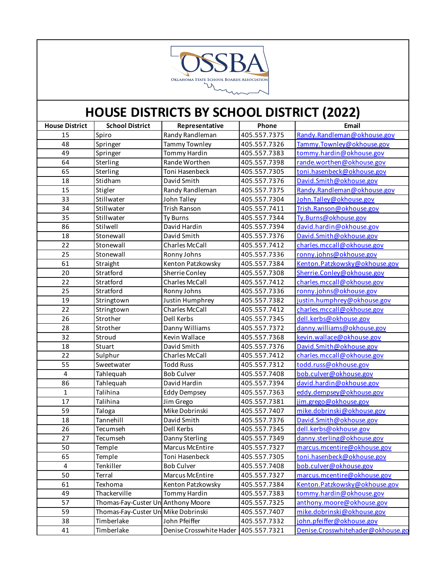

| <b>House District</b>   | <b>School District</b>              | Representative          | Phone        | Email                             |
|-------------------------|-------------------------------------|-------------------------|--------------|-----------------------------------|
| 15                      | Spiro                               | Randy Randleman         | 405.557.7375 | Randy.Randleman@okhouse.gov       |
| 48                      | Springer                            | <b>Tammy Townley</b>    | 405.557.7326 | Tammy.Townley@okhouse.gov         |
| 49                      | Springer                            | Tommy Hardin            | 405.557.7383 | tommy.hardin@okhouse.gov          |
| 64                      | Sterling                            | Rande Worthen           | 405.557.7398 | rande.worthen@okhouse.gov         |
| 65                      | Sterling                            | Toni Hasenbeck          | 405.557.7305 | toni.hasenbeck@okhouse.gov        |
| 18                      | Stidham                             | David Smith             | 405.557.7376 | David.Smith@okhouse.gov           |
| 15                      | Stigler                             | Randy Randleman         | 405.557.7375 | Randy.Randleman@okhouse.gov       |
| 33                      | Stillwater                          | John Talley             | 405.557.7304 | John.Talley@okhouse.gov           |
| 34                      | Stillwater                          | <b>Trish Ranson</b>     | 405.557.7411 | Trish.Ranson@okhouse.gov          |
| 35                      | Stillwater                          | <b>Ty Burns</b>         | 405.557.7344 | Ty.Burns@okhouse.gov              |
| 86                      | Stilwell                            | David Hardin            | 405.557.7394 | david.hardin@okhouse.gov          |
| 18                      | Stonewall                           | David Smith             | 405.557.7376 | David.Smith@okhouse.gov           |
| 22                      | Stonewall                           | <b>Charles McCall</b>   | 405.557.7412 | charles.mccall@okhouse.gov        |
| 25                      | Stonewall                           | Ronny Johns             | 405.557.7336 | ronny.johns@okhouse.gov           |
| 61                      | Straight                            | Kenton Patzkowsky       | 405.557.7384 | Kenton.Patzkowsky@okhouse.gov     |
| 20                      | Stratford                           | Sherrie Conley          | 405.557.7308 | Sherrie.Conley@okhouse.gov        |
| $\overline{22}$         | Stratford                           | <b>Charles McCall</b>   | 405.557.7412 | charles.mccall@okhouse.gov        |
| 25                      | Stratford                           | Ronny Johns             | 405.557.7336 | ronny.johns@okhouse.gov           |
| 19                      | Stringtown                          | Justin Humphrey         | 405.557.7382 | justin.humphrey@okhouse.gov       |
| 22                      | Stringtown                          | <b>Charles McCall</b>   | 405.557.7412 | charles.mccall@okhouse.gov        |
| 26                      | Strother                            | Dell Kerbs              | 405.557.7345 | dell.kerbs@okhouse.gov            |
| 28                      | Strother                            | Danny Williams          | 405.557.7372 | danny.williams@okhouse.gov        |
| 32                      | Stroud                              | Kevin Wallace           | 405.557.7368 | kevin.wallace@okhouse.gov         |
| 18                      | Stuart                              | David Smith             | 405.557.7376 | David.Smith@okhouse.gov           |
| 22                      | Sulphur                             | <b>Charles McCall</b>   | 405.557.7412 | charles.mccall@okhouse.gov        |
| 55                      | Sweetwater                          | <b>Todd Russ</b>        | 405.557.7312 | todd.russ@okhouse.gov             |
| $\overline{\mathbf{4}}$ | Tahlequah                           | <b>Bob Culver</b>       | 405.557.7408 | bob.culver@okhouse.gov            |
| 86                      | Tahlequah                           | David Hardin            | 405.557.7394 | david.hardin@okhouse.gov          |
| $\mathbf{1}$            | Talihina                            | <b>Eddy Dempsey</b>     | 405.557.7363 | eddy.dempsey@okhouse.gov          |
| 17                      | Talihina                            | Jim Grego               | 405.557.7381 | jim.grego@okhouse.gov             |
| 59                      | Taloga                              | Mike Dobrinski          | 405.557.7407 | mike.dobrinski@okhouse.gov        |
| 18                      | Tannehill                           | David Smith             | 405.557.7376 | David.Smith@okhouse.gov           |
| 26                      | Tecumseh                            | Dell Kerbs              | 405.557.7345 | dell.kerbs@okhouse.gov            |
| 27                      | Tecumseh                            | Danny Sterling          | 405.557.7349 | danny.sterling@okhouse.gov        |
| 50                      | Temple                              | Marcus McEntire         | 405.557.7327 | marcus.mcentire@okhouse.gov       |
| 65                      | Temple                              | Toni Hasenbeck          | 405.557.7305 | toni.hasenbeck@okhouse.gov        |
| 4                       | Tenkiller                           | <b>Bob Culver</b>       | 405.557.7408 | bob.culver@okhouse.gov            |
| 50                      | Terral                              | Marcus McEntire         | 405.557.7327 | marcus.mcentire@okhouse.gov       |
| 61                      | Texhoma                             | Kenton Patzkowsky       | 405.557.7384 | Kenton.Patzkowsky@okhouse.gov     |
| 49                      | Thackerville                        | Tommy Hardin            | 405.557.7383 | tommy.hardin@okhouse.gov          |
| 57                      | Thomas-Fay-Custer Un Anthony Moore  |                         | 405.557.7325 | anthony.moore@okhouse.gov         |
| 59                      | Thomas-Fay-Custer Un Mike Dobrinski |                         | 405.557.7407 | mike.dobrinski@okhouse.gov        |
| 38                      | Timberlake                          | John Pfeiffer           | 405.557.7332 | john.pfeiffer@okhouse.gov         |
| 41                      | Timberlake                          | Denise Crosswhite Hader | 405.557.7321 | Denise.Crosswhitehader@okhouse.go |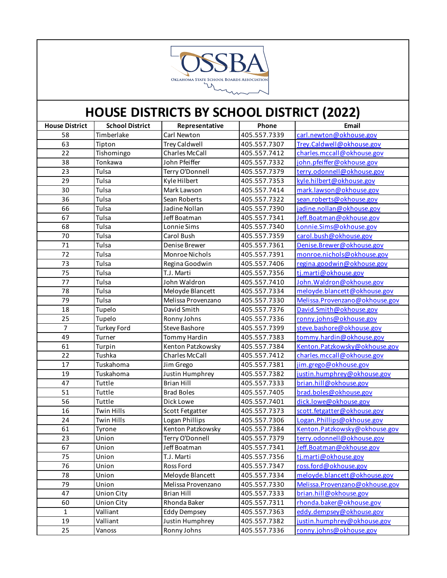

| <b>House District</b> | <b>School District</b> | Representative        | Phone        | Email                           |
|-----------------------|------------------------|-----------------------|--------------|---------------------------------|
| 58                    | Timberlake             | Carl Newton           | 405.557.7339 | carl.newton@okhouse.gov         |
| 63                    | Tipton                 | <b>Trey Caldwell</b>  | 405.557.7307 | Trey.Caldwell@okhouse.gov       |
| 22                    | Tishomingo             | <b>Charles McCall</b> | 405.557.7412 | charles.mccall@okhouse.gov      |
| 38                    | Tonkawa                | John Pfeiffer         | 405.557.7332 | john.pfeiffer@okhouse.gov       |
| 23                    | Tulsa                  | Terry O'Donnell       | 405.557.7379 | terry.odonnell@okhouse.gov      |
| 29                    | Tulsa                  | Kyle Hilbert          | 405.557.7353 | kyle.hilbert@okhouse.gov        |
| 30                    | Tulsa                  | Mark Lawson           | 405.557.7414 | mark.lawson@okhouse.gov         |
| 36                    | Tulsa                  | Sean Roberts          | 405.557.7322 | sean.roberts@okhouse.gov        |
| 66                    | Tulsa                  | Jadine Nollan         | 405.557.7390 | jadine.nollan@okhouse.gov       |
| 67                    | Tulsa                  | Jeff Boatman          | 405.557.7341 | Jeff.Boatman@okhouse.gov        |
| 68                    | Tulsa                  | Lonnie Sims           | 405.557.7340 | Lonnie.Sims@okhouse.gov         |
| 70                    | Tulsa                  | Carol Bush            | 405.557.7359 | carol.bush@okhouse.gov          |
| 71                    | Tulsa                  | Denise Brewer         | 405.557.7361 | Denise.Brewer@okhouse.gov       |
| $\overline{72}$       | Tulsa                  | Monroe Nichols        | 405.557.7391 | monroe.nichols@okhouse.gov      |
| 73                    | Tulsa                  | Regina Goodwin        | 405.557.7406 | regina.goodwin@okhouse.gov      |
| 75                    | Tulsa                  | T.J. Marti            | 405.557.7356 | tj.marti@okhouse.gov            |
| 77                    | Tulsa                  | John Waldron          | 405.557.7410 | John. Waldron@okhouse.gov       |
| 78                    | Tulsa                  | Meloyde Blancett      | 405.557.7334 | meloyde.blancett@okhouse.gov    |
| 79                    | Tulsa                  | Melissa Provenzano    | 405.557.7330 | Melissa. Provenzano@okhouse.gov |
| 18                    | Tupelo                 | David Smith           | 405.557.7376 | David.Smith@okhouse.gov         |
| 25                    | Tupelo                 | Ronny Johns           | 405.557.7336 | ronny.johns@okhouse.gov         |
| $\overline{7}$        | <b>Turkey Ford</b>     | <b>Steve Bashore</b>  | 405.557.7399 | steve.bashore@okhouse.gov       |
| 49                    | Turner                 | Tommy Hardin          | 405.557.7383 | tommy.hardin@okhouse.gov        |
| 61                    | Turpin                 | Kenton Patzkowsky     | 405.557.7384 | Kenton.Patzkowsky@okhouse.gov   |
| 22                    | Tushka                 | <b>Charles McCall</b> | 405.557.7412 | charles.mccall@okhouse.gov      |
| 17                    | Tuskahoma              | Jim Grego             | 405.557.7381 | iim.grego@okhouse.gov           |
| 19                    | Tuskahoma              | Justin Humphrey       | 405.557.7382 | justin.humphrey@okhouse.gov     |
| 47                    | Tuttle                 | <b>Brian Hill</b>     | 405.557.7333 | brian.hill@okhouse.gov          |
| 51                    | Tuttle                 | <b>Brad Boles</b>     | 405.557.7405 | brad.boles@okhouse.gov          |
| 56                    | Tuttle                 | Dick Lowe             | 405.557.7401 | dick.lowe@okhouse.gov           |
| 16                    | <b>Twin Hills</b>      | Scott Fetgatter       | 405.557.7373 | scott.fetgatter@okhouse.gov     |
| 24                    | <b>Twin Hills</b>      | Logan Phillips        | 405.557.7306 | Logan.Phillips@okhouse.gov      |
| 61                    | Tyrone                 | Kenton Patzkowsky     | 405.557.7384 | Kenton.Patzkowsky@okhouse.gov   |
| 23                    | Union                  | Terry O'Donnell       | 405.557.7379 | terry.odonnell@okhouse.gov      |
| 67                    | Union                  | Jeff Boatman          | 405.557.7341 | Jeff.Boatman@okhouse.gov        |
| 75                    | Union                  | T.J. Marti            | 405.557.7356 | tj.marti@okhouse.gov            |
| 76                    | Union                  | Ross Ford             | 405.557.7347 | ross.ford@okhouse.gov           |
| 78                    | Union                  | Meloyde Blancett      | 405.557.7334 | meloyde.blancett@okhouse.gov    |
| 79                    | Union                  | Melissa Provenzano    | 405.557.7330 | Melissa. Provenzano@okhouse.gov |
| 47                    | <b>Union City</b>      | <b>Brian Hill</b>     | 405.557.7333 | brian.hill@okhouse.gov          |
| 60                    | <b>Union City</b>      | Rhonda Baker          | 405.557.7311 | rhonda.baker@okhouse.gov        |
| $1\,$                 | Valliant               | <b>Eddy Dempsey</b>   | 405.557.7363 | eddy.dempsey@okhouse.gov        |
| 19                    | Valliant               | Justin Humphrey       | 405.557.7382 | justin.humphrey@okhouse.gov     |
| 25                    | Vanoss                 | Ronny Johns           | 405.557.7336 | ronny.johns@okhouse.gov         |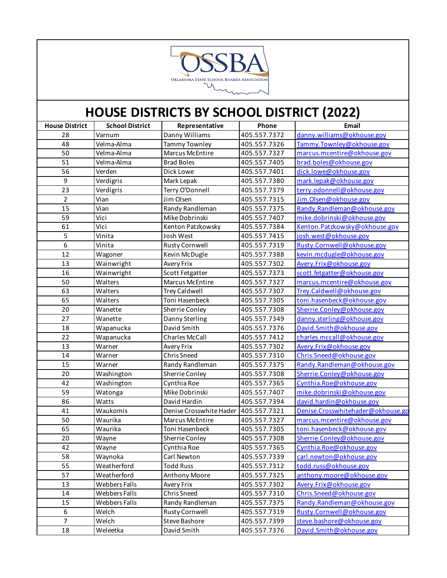

| <b>House District</b> | <b>School District</b> | Representative          | Phone        | Email                             |
|-----------------------|------------------------|-------------------------|--------------|-----------------------------------|
| 28                    | Varnum                 | Danny Williams          | 405.557.7372 | danny.williams@okhouse.gov        |
| 48                    | Velma-Alma             | <b>Tammy Townley</b>    | 405.557.7326 | Tammy.Townley@okhouse.gov         |
| 50                    | Velma-Alma             | <b>Marcus McEntire</b>  | 405.557.7327 | marcus.mcentire@okhouse.gov       |
| 51                    | Velma-Alma             | <b>Brad Boles</b>       | 405.557.7405 | brad.boles@okhouse.gov            |
| 56                    | Verden                 | Dick Lowe               | 405.557.7401 | dick.lowe@okhouse.gov             |
| 9                     | Verdigris              | Mark Lepak              | 405.557.7380 | mark.lepak@okhouse.gov            |
| 23                    | Verdigris              | Terry O'Donnell         | 405.557.7379 | terry.odonnell@okhouse.gov        |
| $\overline{2}$        | Vian                   | Jim Olsen               | 405.557.7315 | Jim.Olsen@okhouse.gov             |
| 15                    | Vian                   | Randy Randleman         | 405.557.7375 | Randy.Randleman@okhouse.gov       |
| 59                    | Vici                   | Mike Dobrinski          | 405.557.7407 | mike.dobrinski@okhouse.gov        |
| 61                    | Vici                   | Kenton Patzkowsky       | 405.557.7384 | Kenton.Patzkowsky@okhouse.gov     |
| 5                     | Vinita                 | Josh West               | 405.557.7415 | josh.west@okhouse.gov             |
| 6                     | Vinita                 | <b>Rusty Cornwell</b>   | 405.557.7319 | Rusty.Cornwell@okhouse.gov        |
| 12                    | Wagoner                | Kevin McDugle           | 405.557.7388 | kevin.mcdugle@okhouse.gov         |
| 13                    | Wainwright             | Avery Frix              | 405.557.7302 | Avery.Frix@okhouse.gov            |
| 16                    | Wainwright             | Scott Fetgatter         | 405.557.7373 | scott.fetgatter@okhouse.gov       |
| 50                    | Walters                | <b>Marcus McEntire</b>  | 405.557.7327 | marcus.mcentire@okhouse.gov       |
| 63                    | Walters                | <b>Trey Caldwell</b>    | 405.557.7307 | Trey.Caldwell@okhouse.gov         |
| 65                    | Walters                | Toni Hasenbeck          | 405.557.7305 | toni.hasenbeck@okhouse.gov        |
| 20                    | Wanette                | Sherrie Conley          | 405.557.7308 | Sherrie.Conley@okhouse.gov        |
| 27                    | Wanette                | Danny Sterling          | 405.557.7349 | danny.sterling@okhouse.gov        |
| 18                    | Wapanucka              | David Smith             | 405.557.7376 | David.Smith@okhouse.gov           |
| 22                    | Wapanucka              | <b>Charles McCall</b>   | 405.557.7412 | charles.mccall@okhouse.gov        |
| 13                    | Warner                 | Avery Frix              | 405.557.7302 | Avery.Frix@okhouse.gov            |
| 14                    | Warner                 | <b>Chris Sneed</b>      | 405.557.7310 | Chris.Sneed@okhouse.gov           |
| 15                    | Warner                 | Randy Randleman         | 405.557.7375 | Randy.Randleman@okhouse.gov       |
| 20                    | Washington             | Sherrie Conley          | 405.557.7308 | Sherrie.Conley@okhouse.gov        |
| 42                    | Washington             | Cynthia Roe             | 405.557.7365 | Cynthia.Roe@okhouse.gov           |
| 59                    | Watonga                | Mike Dobrinski          | 405.557.7407 | mike.dobrinski@okhouse.gov        |
| 86                    | Watts                  | David Hardin            | 405.557.7394 | david.hardin@okhouse.gov          |
| 41                    | Waukomis               | Denise Crosswhite Hader | 405.557.7321 | Denise.Crosswhitehader@okhouse.go |
| 50                    | Waurika                | Marcus McEntire         | 405.557.7327 | marcus.mcentire@okhouse.gov       |
| 65                    | Waurika                | Toni Hasenbeck          | 405.557.7305 | toni.hasenbeck@okhouse.gov        |
| 20                    | Wayne                  | Sherrie Conley          | 405.557.7308 | Sherrie.Conley@okhouse.gov        |
| 42                    | Wayne                  | Cynthia Roe             | 405.557.7365 | Cynthia.Roe@okhouse.gov           |
| 58                    | Waynoka                | Carl Newton             | 405.557.7339 | carl.newton@okhouse.gov           |
| 55                    | Weatherford            | <b>Todd Russ</b>        | 405.557.7312 | todd.russ@okhouse.gov             |
| 57                    | Weatherford            | <b>Anthony Moore</b>    | 405.557.7325 | anthony.moore@okhouse.gov         |
| 13                    | Webbers Falls          | Avery Frix              | 405.557.7302 | Avery.Frix@okhouse.gov            |
| 14                    | Webbers Falls          | Chris Sneed             | 405.557.7310 | Chris.Sneed@okhouse.gov           |
| 15                    | Webbers Falls          | Randy Randleman         | 405.557.7375 | Randy.Randleman@okhouse.gov       |
| 6                     | Welch                  | <b>Rusty Cornwell</b>   | 405.557.7319 | Rusty.Cornwell@okhouse.gov        |
| $\overline{7}$        | Welch                  | Steve Bashore           | 405.557.7399 | steve.bashore@okhouse.gov         |
| 18                    | Weleetka               | David Smith             | 405.557.7376 | David.Smith@okhouse.gov           |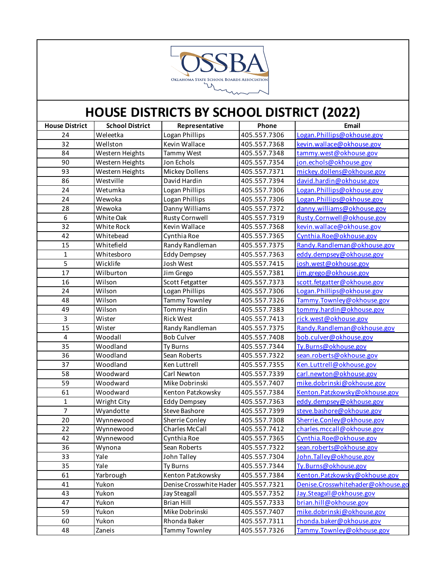

| <b>House District</b> | <b>School District</b> | Representative          | Phone        | Email                             |
|-----------------------|------------------------|-------------------------|--------------|-----------------------------------|
| 24                    | Weleetka               | Logan Phillips          | 405.557.7306 | Logan.Phillips@okhouse.gov        |
| 32                    | Wellston               | Kevin Wallace           | 405.557.7368 | kevin.wallace@okhouse.gov         |
| 84                    | Western Heights        | Tammy West              | 405.557.7348 | tammy.west@okhouse.gov            |
| 90                    | Western Heights        | Jon Echols              | 405.557.7354 | jon.echols@okhouse.gov            |
| 93                    | Western Heights        | Mickey Dollens          | 405.557.7371 | mickey.dollens@okhouse.gov        |
| 86                    | Westville              | David Hardin            | 405.557.7394 | david.hardin@okhouse.gov          |
| 24                    | Wetumka                | Logan Phillips          | 405.557.7306 | Logan.Phillips@okhouse.gov        |
| 24                    | Wewoka                 | Logan Phillips          | 405.557.7306 | Logan.Phillips@okhouse.gov        |
| 28                    | Wewoka                 | Danny Williams          | 405.557.7372 | danny.williams@okhouse.gov        |
| 6                     | White Oak              | <b>Rusty Cornwell</b>   | 405.557.7319 | Rusty.Cornwell@okhouse.gov        |
| 32                    | White Rock             | Kevin Wallace           | 405.557.7368 | kevin.wallace@okhouse.gov         |
| 42                    | Whitebead              | Cynthia Roe             | 405.557.7365 | Cynthia.Roe@okhouse.gov           |
| 15                    | Whitefield             | Randy Randleman         | 405.557.7375 | Randy.Randleman@okhouse.gov       |
| $\mathbf 1$           | Whitesboro             | <b>Eddy Dempsey</b>     | 405.557.7363 | eddy.dempsey@okhouse.gov          |
| $\overline{5}$        | Wicklife               | Josh West               | 405.557.7415 | josh.west@okhouse.gov             |
| 17                    | Wilburton              | Jim Grego               | 405.557.7381 | jim.grego@okhouse.gov             |
| 16                    | Wilson                 | Scott Fetgatter         | 405.557.7373 | scott.fetgatter@okhouse.gov       |
| 24                    | Wilson                 | Logan Phillips          | 405.557.7306 | Logan.Phillips@okhouse.gov        |
| 48                    | Wilson                 | Tammy Townley           | 405.557.7326 | Tammy.Townley@okhouse.gov         |
| 49                    | Wilson                 | Tommy Hardin            | 405.557.7383 | tommy.hardin@okhouse.gov          |
| $\overline{3}$        | Wister                 | <b>Rick West</b>        | 405.557.7413 | rick.west@okhouse.gov             |
| 15                    | Wister                 | Randy Randleman         | 405.557.7375 | Randy.Randleman@okhouse.gov       |
| $\overline{4}$        | Woodall                | <b>Bob Culver</b>       | 405.557.7408 | bob.culver@okhouse.gov            |
| 35                    | Woodland               | Ty Burns                | 405.557.7344 | Ty.Burns@okhouse.gov              |
| 36                    | Woodland               | Sean Roberts            | 405.557.7322 | sean.roberts@okhouse.gov          |
| 37                    | Woodland               | Ken Luttrell            | 405.557.7355 | Ken.Luttrell@okhouse.gov          |
| 58                    | Woodward               | Carl Newton             | 405.557.7339 | carl.newton@okhouse.gov           |
| 59                    | Woodward               | Mike Dobrinski          | 405.557.7407 | mike.dobrinski@okhouse.gov        |
| 61                    | Woodward               | Kenton Patzkowsky       | 405.557.7384 | Kenton.Patzkowsky@okhouse.gov     |
| $\mathbf{1}$          | Wright City            | <b>Eddy Dempsey</b>     | 405.557.7363 | eddy.dempsey@okhouse.gov          |
| $\overline{7}$        | Wyandotte              | <b>Steve Bashore</b>    | 405.557.7399 | steve.bashore@okhouse.gov         |
| 20                    | Wynnewood              | Sherrie Conley          | 405.557.7308 | Sherrie.Conley@okhouse.gov        |
| 22                    | Wynnewood              | <b>Charles McCall</b>   | 405.557.7412 | charles.mccall@okhouse.gov        |
| 42                    | Wynnewood              | Cynthia Roe             | 405.557.7365 | Cynthia.Roe@okhouse.gov           |
| 36                    | Wynona                 | Sean Roberts            | 405.557.7322 | sean.roberts@okhouse.gov          |
| 33                    | Yale                   | John Talley             | 405.557.7304 | John.Talley@okhouse.gov           |
| 35                    | Yale                   | Ty Burns                | 405.557.7344 | Ty.Burns@okhouse.gov              |
| 61                    | Yarbrough              | Kenton Patzkowsky       | 405.557.7384 | Kenton.Patzkowsky@okhouse.gov     |
| 41                    | Yukon                  | Denise Crosswhite Hader | 405.557.7321 | Denise.Crosswhitehader@okhouse.go |
| 43                    | Yukon                  | Jay Steagall            | 405.557.7352 | Jay.Steagall@okhouse.gov          |
| 47                    | Yukon                  | <b>Brian Hill</b>       | 405.557.7333 | brian.hill@okhouse.gov            |
| 59                    | Yukon                  | Mike Dobrinski          | 405.557.7407 | mike.dobrinski@okhouse.gov        |
| 60                    | Yukon                  | Rhonda Baker            | 405.557.7311 | rhonda.baker@okhouse.gov          |
| 48                    | Zaneis                 | Tammy Townley           | 405.557.7326 | Tammy.Townley@okhouse.gov         |